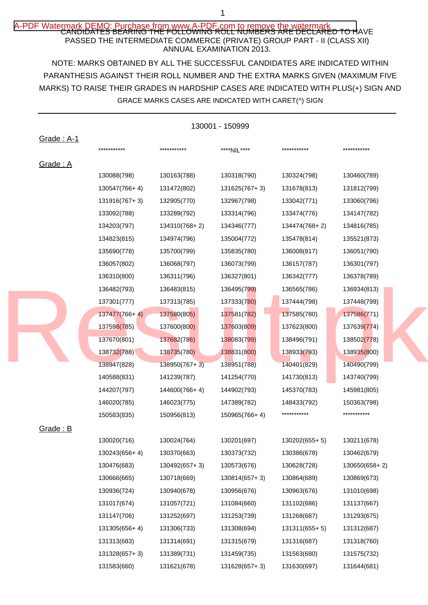## A-PDF Watermark DEMO: Purchase from www.A-PDF,com to remove the watermark<br>CANDIDATES BEARING THE FOLLOWING ROLL NUMBERS ARE DECLARED TO HAVE PASSED THE INTERMEDIATE COMMERCE (PRIVATE) GROUP PART - II (CLASS XII) ANNUAL EXAMINATION 2013.

NOTE: MARKS OBTAINED BY ALL THE SUCCESSFUL CANDIDATES ARE INDICATED WITHIN MARKS) TO RAISE THEIR GRADES IN HARDSHIP CASES ARE INDICATED WITH PLUS(+) SIGN AND PARANTHESIS AGAINST THEIR ROLL NUMBER AND THE EXTRA MARKS GIVEN (MAXIMUM FIVE GRACE MARKS CASES ARE INDICATED WITH CARET(^) SIGN

|            |                 |               | 130001 - 150999 |                 |                 |
|------------|-----------------|---------------|-----------------|-----------------|-----------------|
| Grade: A-1 |                 |               |                 |                 |                 |
|            | ***********     | ***********   | ****NIL****     | ***********     | ***********     |
| Grade: A   |                 |               |                 |                 |                 |
|            | 130088(798)     | 130163(788)   | 130318(790)     | 130324(798)     | 130460(789)     |
|            | 130547(766+4)   | 131472(802)   | 131625(767+3)   | 131678(813)     | 131812(799)     |
|            | 131916(767+3)   | 132905(770)   | 132967(798)     | 133042(771)     | 133060(796)     |
|            | 133092(788)     | 133289(792)   | 133314(796)     | 133474(776)     | 134147(782)     |
|            | 134203(797)     | 134310(768+2) | 134346(777)     | 134474(768+2)   | 134816(785)     |
|            | 134823(815)     | 134974(796)   | 135004(772)     | 135478(814)     | 135521(873)     |
|            | 135690(778)     | 135700(799)   | 135835(780)     | 136008(817)     | 136051(790)     |
|            | 136057(802)     | 136068(797)   | 136073(799)     | 136157(787)     | 136301(797)     |
|            | 136310(800)     | 136311(796)   | 136327(801)     | 136342(777)     | 136378(789)     |
|            | 136482(793)     | 136483(815)   | 136495(799)     | 136565(786)     | 136934(813)     |
|            | 137301(777)     | 137313(785)   | 137333(780)     | 137444(798)     | 137448(799)     |
|            | $137477(766+4)$ | 137580(805)   | 137581(782)     | 137585(780)     | 137586(771)     |
|            | 137598(785)     | 137600(800)   | 137603(809)     | 137623(800)     | 137639(774)     |
|            | 137670(801)     | 137682(786)   | 138083(799)     | 138496(791)     | 138502(778)     |
|            | 138732(788)     | 138735(780)   | 138831(800)     | 138933(793)     | 138935(800)     |
|            | 138947(828)     | 138950(767+3) | 138951(788)     | 140401(829)     | 140490(799)     |
|            | 140588(831)     | 141239(787)   | 141254(770)     | 141730(813)     | 143740(799)     |
|            | 144207(797)     | 144600(766+4) | 144902(793)     | 145370(783)     | 145981(805)     |
|            | 146020(785)     | 146023(775)   | 147389(782)     | 148433(792)     | 150363(798)     |
|            | 150583(835)     | 150956(813)   | 150965(766+4)   | ***********     | ***********     |
| Grade : B  |                 |               |                 |                 |                 |
|            | 130020(716)     | 130024(764)   | 130201(697)     | 130202(655+5)   | 130211(678)     |
|            | 130243(656+4)   | 130370(663)   | 130373(732)     | 130386(678)     | 130462(679)     |
|            | 130476(683)     | 130492(657+3) | 130573(676)     | 130628(728)     | $130650(658+2)$ |
|            | 130666(665)     | 130718(669)   | $130814(657+3)$ | 130864(689)     | 130869(673)     |
|            | 130936(724)     | 130940(678)   | 130956(676)     | 130963(676)     | 131010(698)     |
|            | 131017(674)     | 131057(721)   | 131084(660)     | 131102(686)     | 131137(667)     |
|            | 131147(706)     | 131252(697)   | 131253(739)     | 131268(687)     | 131293(675)     |
|            | 131305(656+4)   | 131306(733)   | 131308(694)     | $131311(655+5)$ | 131312(687)     |
|            | 131313(683)     | 131314(691)   | 131315(679)     | 131316(687)     | 131318(760)     |
|            | 131328(657+3)   | 131389(731)   | 131459(735)     | 131563(680)     | 131575(732)     |
|            | 131583(660)     | 131621(678)   | 131628(657+3)   | 131630(697)     | 131644(681)     |
|            |                 |               |                 |                 |                 |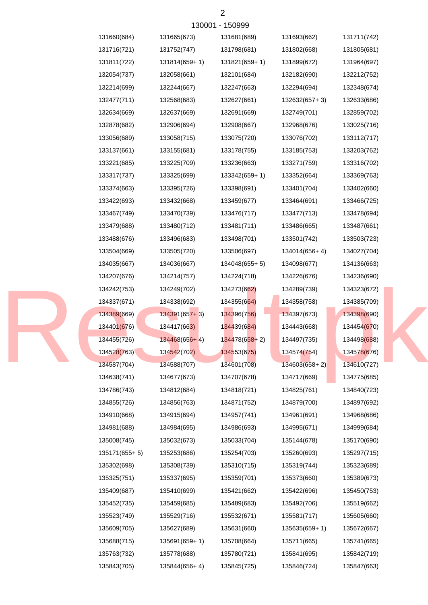| 131660(684)   | 131665(673)     | 131681(689)   | 131693(662)     | 131711(742) |
|---------------|-----------------|---------------|-----------------|-------------|
| 131716(721)   | 131752(747)     | 131798(681)   | 131802(668)     | 131805(681) |
| 131811(722)   | 131814(659+1)   | 131821(659+1) | 131899(672)     | 131964(697) |
| 132054(737)   | 132058(661)     | 132101(684)   | 132182(690)     | 132212(752) |
| 132214(699)   | 132244(667)     | 132247(663)   | 132294(694)     | 132348(674) |
| 132477(711)   | 132568(683)     | 132627(661)   | 132632(657+3)   | 132633(686) |
| 132634(669)   | 132637(669)     | 132691(669)   | 132749(701)     | 132859(702) |
| 132878(682)   | 132906(694)     | 132908(667)   | 132968(676)     | 133025(716) |
| 133056(689)   | 133058(715)     | 133075(720)   | 133076(702)     | 133112(717) |
| 133137(661)   | 133155(681)     | 133178(755)   | 133185(753)     | 133203(762) |
| 133221(685)   | 133225(709)     | 133236(663)   | 133271(759)     | 133316(702) |
| 133317(737)   | 133325(699)     | 133342(659+1) | 133352(664)     | 133369(763) |
| 133374(663)   | 133395(726)     | 133398(691)   | 133401(704)     | 133402(660) |
| 133422(693)   | 133432(668)     | 133459(677)   | 133464(691)     | 133466(725) |
| 133467(749)   | 133470(739)     | 133476(717)   | 133477(713)     | 133478(694) |
| 133479(688)   | 133480(712)     | 133481(711)   | 133486(665)     | 133487(661) |
| 133488(676)   | 133496(683)     | 133498(701)   | 133501(742)     | 133503(723) |
| 133504(669)   | 133505(720)     | 133506(697)   | 134014(656+4)   | 134027(704) |
| 134035(667)   | 134036(667)     | 134048(655+5) | 134098(677)     | 134136(663) |
| 134207(676)   | 134214(757)     | 134224(718)   | 134226(676)     | 134236(690) |
| 134242(753)   | 134249(702)     | 134273(662)   | 134289(739)     | 134323(672) |
| 134337(671)   | 134338(692)     | 134355(664)   | 134358(758)     | 134385(709) |
| 134389(669)   | $134391(657+3)$ | 134396(756)   | 134397(673)     | 134398(690) |
| 134401(676)   | 134417(663)     | 134439(684)   | 134443(668)     | 134454(670) |
| 134455(726)   | $134468(656+4)$ | 134478(658+2) | 134497(735)     | 134498(688) |
| 134528(763)   | 134542(702)     | 134553(675)   | 134574(754)     | 134578(676) |
| 134587(704)   | 134588(707)     | 134601(708)   | $134603(658+2)$ | 134610(727) |
| 134638(741)   | 134677(673)     | 134707(678)   | 134717(669)     | 134775(685) |
| 134786(743)   | 134812(684)     | 134818(721)   | 134825(761)     | 134840(723) |
| 134855(726)   | 134856(763)     | 134871(752)   | 134879(700)     | 134897(692) |
| 134910(668)   | 134915(694)     | 134957(741)   | 134961(691)     | 134968(686) |
| 134981(688)   | 134984(695)     | 134986(693)   | 134995(671)     | 134999(684) |
| 135008(745)   | 135032(673)     | 135033(704)   | 135144(678)     | 135170(690) |
| 135171(655+5) | 135253(686)     | 135254(703)   | 135260(693)     | 135297(715) |
| 135302(698)   | 135308(739)     | 135310(715)   | 135319(744)     | 135323(689) |
| 135325(751)   | 135337(695)     | 135359(701)   | 135373(660)     | 135389(673) |
| 135409(687)   | 135410(699)     | 135421(662)   | 135422(696)     | 135450(753) |
| 135452(735)   | 135459(685)     | 135489(683)   | 135492(706)     | 135519(662) |
| 135523(749)   | 135529(716)     | 135532(671)   | 135581(717)     | 135605(660) |
| 135609(705)   | 135627(689)     | 135631(660)   | 135635(659+1)   | 135672(667) |
| 135688(715)   | 135691(659+1)   | 135708(664)   | 135711(665)     | 135741(665) |
| 135763(732)   | 135778(688)     | 135780(721)   | 135841(695)     | 135842(719) |
|               |                 |               |                 |             |

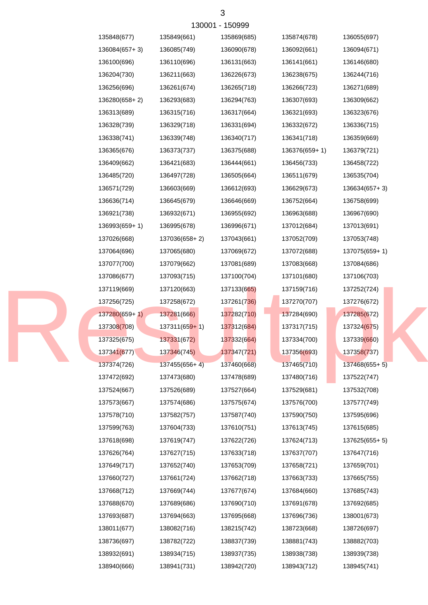|               |                             | <u> 19000 - 1909aa</u> |               |               |
|---------------|-----------------------------|------------------------|---------------|---------------|
| 135848(677)   | 135849(661)                 | 135869(685)            | 135874(678)   | 136055(697)   |
| 136084(657+3) | 136085(749)                 | 136090(678)            | 136092(661)   | 136094(671)   |
| 136100(696)   | 136110(696)                 | 136131(663)            | 136141(661)   | 136146(680)   |
| 136204(730)   | 136211(663)                 | 136226(673)            | 136238(675)   | 136244(716)   |
| 136256(696)   | 136261(674)                 | 136265(718)            | 136266(723)   | 136271(689)   |
| 136280(658+2) | 136293(683)                 | 136294(763)            | 136307(693)   | 136309(662)   |
| 136313(689)   | 136315(716)                 | 136317(664)            | 136321(693)   | 136323(676)   |
| 136328(739)   | 136329(718)                 | 136331(694)            | 136332(672)   | 136336(715)   |
| 136338(741)   | 136339(748)                 | 136340(717)            | 136341(718)   | 136359(669)   |
| 136365(676)   | 136373(737)                 | 136375(688)            | 136376(659+1) | 136379(721)   |
| 136409(662)   | 136421(683)                 | 136444(661)            | 136456(733)   | 136458(722)   |
| 136485(720)   | 136497(728)                 | 136505(664)            | 136511(679)   | 136535(704)   |
| 136571(729)   | 136603(669)                 | 136612(693)            | 136629(673)   | 136634(657+3) |
| 136636(714)   | 136645(679)                 | 136646(669)            | 136752(664)   | 136758(699)   |
| 136921(738)   | 136932(671)                 | 136955(692)            | 136963(688)   | 136967(690)   |
| 136993(659+1) | 136995(678)                 | 136996(671)            | 137012(684)   | 137013(691)   |
| 137026(668)   | 137036(658+2)               | 137043(661)            | 137052(709)   | 137053(748)   |
| 137064(696)   | 137065(680)                 | 137069(672)            | 137072(688)   | 137075(659+1) |
| 137077(700)   | 137079(662)                 | 137081(689)            | 137083(668)   | 137084(686)   |
| 137086(677)   | 137093(715)                 | 137100(704)            | 137101(680)   | 137106(703)   |
| 137119(669)   | 137120(663)                 | 137133(665)            | 137159(716)   | 137252(724)   |
| 137256(725)   | 137258(672)                 | 137261(736)            | 137270(707)   | 137276(672)   |
| 137280(659+1) | 137281(666)                 | 137282(710)            | 137284(690)   | 137285(672)   |
| 137308(708)   | 137311(65 <mark>9+1)</mark> | 137312(684)            | 137317(715)   | 137324(675)   |
| 137325(675)   | 137331(672)                 | 137332(664)            | 137334(700)   | 137339(660)   |
| 137341(677)   | 137346(745)                 | 137347(721)            | 137356(693)   | 137358(737)   |
| 137374(726)   | 137455(656+4)               | 137460(668)            | 137465(710)   | 137468(655+5) |
| 137472(692)   | 137473(680)                 | 137478(689)            | 137480(716)   | 137522(747)   |
| 137524(667)   | 137526(689)                 | 137527(664)            | 137529(681)   | 137532(708)   |
| 137573(667)   | 137574(686)                 | 137575(674)            | 137576(700)   | 137577(749)   |
| 137578(710)   | 137582(757)                 | 137587(740)            | 137590(750)   | 137595(696)   |
| 137599(763)   | 137604(733)                 | 137610(751)            | 137613(745)   | 137615(685)   |
| 137618(698)   | 137619(747)                 | 137622(726)            | 137624(713)   | 137625(655+5) |
| 137626(764)   | 137627(715)                 | 137633(718)            | 137637(707)   | 137647(716)   |
| 137649(717)   | 137652(740)                 | 137653(709)            | 137658(721)   | 137659(701)   |
| 137660(727)   | 137661(724)                 | 137662(718)            | 137663(733)   | 137665(755)   |
| 137668(712)   | 137669(744)                 | 137677(674)            | 137684(660)   | 137685(743)   |
| 137688(670)   | 137689(686)                 | 137690(710)            | 137691(678)   | 137692(685)   |
| 137693(687)   | 137694(663)                 | 137695(668)            | 137696(736)   | 138001(673)   |
| 138011(677)   | 138082(716)                 | 138215(742)            | 138723(668)   | 138726(697)   |
| 138736(697)   | 138782(722)                 | 138837(739)            | 138881(743)   | 138882(703)   |
| 138932(691)   | 138934(715)                 | 138937(735)            | 138938(738)   | 138939(738)   |
| 138940(666)   | 138941(731)                 | 138942(720)            | 138943(712)   | 138945(741)   |

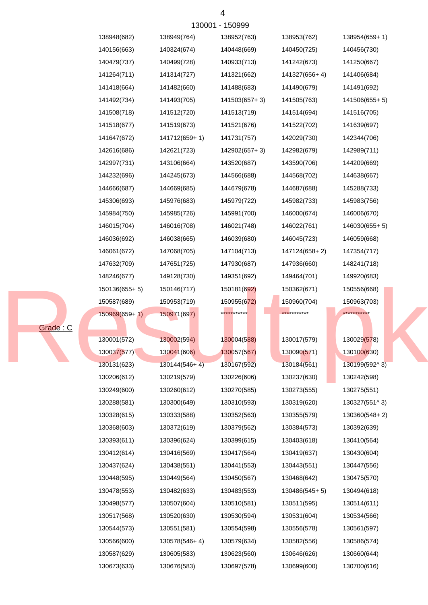|          |                 |                 | 10000         |                 |               |
|----------|-----------------|-----------------|---------------|-----------------|---------------|
|          | 138948(682)     | 138949(764)     | 138952(763)   | 138953(762)     | 138954(659+1) |
|          | 140156(663)     | 140324(674)     | 140448(669)   | 140450(725)     | 140456(730)   |
|          | 140479(737)     | 140499(728)     | 140933(713)   | 141242(673)     | 141250(667)   |
|          | 141264(711)     | 141314(727)     | 141321(662)   | 141327(656+4)   | 141406(684)   |
|          | 141418(664)     | 141482(660)     | 141488(683)   | 141490(679)     | 141491(692)   |
|          | 141492(734)     | 141493(705)     | 141503(657+3) | 141505(763)     | 141506(655+5) |
|          | 141508(718)     | 141512(720)     | 141513(719)   | 141514(694)     | 141516(705)   |
|          | 141518(677)     | 141519(673)     | 141521(676)   | 141522(702)     | 141639(697)   |
|          | 141647(672)     | 141712(659+1)   | 141731(757)   | 142029(730)     | 142344(706)   |
|          | 142616(686)     | 142621(723)     | 142902(657+3) | 142982(679)     | 142989(711)   |
|          | 142997(731)     | 143106(664)     | 143520(687)   | 143590(706)     | 144209(669)   |
|          | 144232(696)     | 144245(673)     | 144566(688)   | 144568(702)     | 144638(667)   |
|          | 144666(687)     | 144669(685)     | 144679(678)   | 144687(688)     | 145288(733)   |
|          | 145306(693)     | 145976(683)     | 145979(722)   | 145982(733)     | 145983(756)   |
|          | 145984(750)     | 145985(726)     | 145991(700)   | 146000(674)     | 146006(670)   |
|          | 146015(704)     | 146016(708)     | 146021(748)   | 146022(761)     | 146030(655+5) |
|          | 146036(692)     | 146038(665)     | 146039(680)   | 146045(723)     | 146059(668)   |
|          | 146061(672)     | 147068(705)     | 147104(713)   | 147124(658+2)   | 147354(717)   |
|          | 147632(709)     | 147651(725)     | 147930(687)   | 147936(660)     | 148241(718)   |
|          | 148246(677)     | 149128(730)     | 149351(692)   | 149464(701)     | 149920(683)   |
|          | $150136(655+5)$ | 150146(717)     | 150181(692)   | 150362(671)     | 150556(668)   |
|          | 150587(689)     | 150953(719)     | 150955(672)   | 150960(704)     | 150963(703)   |
|          | $150969(659+1)$ | 150971(697)     | ***********   | ***********     | ***********   |
| Grade: C |                 |                 |               |                 |               |
|          | 130001(572)     | 130002(594)     | 130004(588)   | 130017(579)     | 130029(578)   |
|          | 130037(577)     | 130041(606)     | 130057(567)   | 130090(571)     | 130100(630)   |
|          | 130131(623)     | $130144(546+4)$ | 130167(592)   | 130184(561)     | 130199(592^3) |
|          | 130206(612)     | 130219(579)     | 130226(606)   | 130237(630)     | 130242(598)   |
|          | 130249(600)     | 130260(612)     | 130270(585)   | 130273(555)     | 130275(551)   |
|          | 130288(581)     | 130300(649)     | 130310(593)   | 130319(620)     | 130327(551^3) |
|          | 130328(615)     | 130333(588)     | 130352(563)   | 130355(579)     | 130360(548+2) |
|          | 130368(603)     | 130372(619)     | 130379(562)   | 130384(573)     | 130392(639)   |
|          | 130393(611)     | 130396(624)     | 130399(615)   | 130403(618)     | 130410(564)   |
|          | 130412(614)     | 130416(569)     | 130417(564)   | 130419(637)     | 130430(604)   |
|          | 130437(624)     | 130438(551)     | 130441(553)   | 130443(551)     | 130447(556)   |
|          | 130448(595)     | 130449(564)     | 130450(567)   | 130468(642)     | 130475(570)   |
|          | 130478(553)     | 130482(633)     | 130483(553)   | $130486(545+5)$ | 130494(618)   |
|          | 130498(577)     | 130507(604)     | 130510(581)   | 130511(595)     | 130514(611)   |
|          | 130517(568)     | 130520(630)     | 130530(594)   | 130531(604)     | 130534(566)   |
|          | 130544(573)     | 130551(581)     | 130554(598)   | 130556(578)     | 130561(597)   |
|          | 130566(600)     | 130578(546+4)   | 130579(634)   | 130582(556)     | 130586(574)   |
|          | 130587(629)     | 130605(583)     | 130623(560)   | 130646(626)     | 130660(644)   |
|          | 130673(633)     | 130676(583)     | 130697(578)   | 130699(600)     | 130700(616)   |

130001 - 150999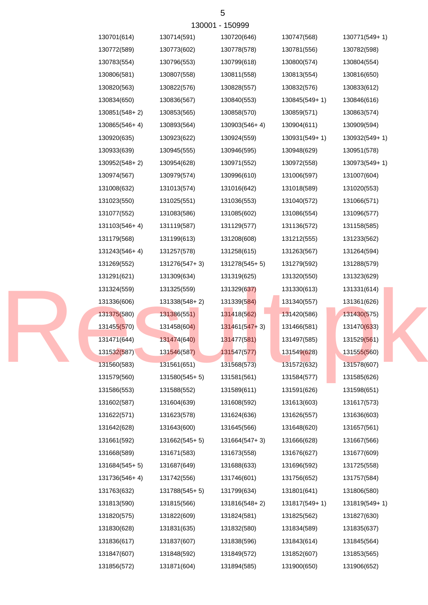| 130001 - 150999 |               |                 |                 |               |               |  |  |
|-----------------|---------------|-----------------|-----------------|---------------|---------------|--|--|
|                 | 130701(614)   | 130714(591)     | 130720(646)     | 130747(568)   | 130771(549+1) |  |  |
|                 | 130772(589)   | 130773(602)     | 130778(578)     | 130781(556)   | 130782(598)   |  |  |
|                 | 130783(554)   | 130796(553)     | 130799(618)     | 130800(574)   | 130804(554)   |  |  |
|                 | 130806(581)   | 130807(558)     | 130811(558)     | 130813(554)   | 130816(650)   |  |  |
|                 | 130820(563)   | 130822(576)     | 130828(557)     | 130832(576)   | 130833(612)   |  |  |
|                 | 130834(650)   | 130836(567)     | 130840(553)     | 130845(549+1) | 130846(616)   |  |  |
|                 | 130851(548+2) | 130853(565)     | 130858(570)     | 130859(571)   | 130863(574)   |  |  |
|                 | 130865(546+4) | 130893(564)     | 130903(546+4)   | 130904(611)   | 130909(594)   |  |  |
|                 | 130920(635)   | 130923(622)     | 130924(559)     | 130931(549+1) | 130932(549+1) |  |  |
|                 | 130933(639)   | 130945(555)     | 130946(595)     | 130948(629)   | 130951(578)   |  |  |
|                 | 130952(548+2) | 130954(628)     | 130971(552)     | 130972(558)   | 130973(549+1) |  |  |
|                 | 130974(567)   | 130979(574)     | 130996(610)     | 131006(597)   | 131007(604)   |  |  |
|                 | 131008(632)   | 131013(574)     | 131016(642)     | 131018(589)   | 131020(553)   |  |  |
|                 | 131023(550)   | 131025(551)     | 131036(553)     | 131040(572)   | 131066(571)   |  |  |
|                 | 131077(552)   | 131083(586)     | 131085(602)     | 131086(554)   | 131096(577)   |  |  |
|                 | 131103(546+4) | 131119(587)     | 131129(577)     | 131136(572)   | 131158(585)   |  |  |
|                 | 131179(568)   | 131199(613)     | 131208(608)     | 131212(555)   | 131233(562)   |  |  |
|                 | 131243(546+4) | 131257(578)     | 131258(615)     | 131263(567)   | 131264(594)   |  |  |
|                 | 131269(552)   | 131276(547+3)   | 131278(545+5)   | 131279(592)   | 131288(579)   |  |  |
|                 | 131291(621)   | 131309(634)     | 131319(625)     | 131320(550)   | 131323(629)   |  |  |
|                 | 131324(559)   | 131325(559)     | 131329(637)     | 131330(613)   | 131331(614)   |  |  |
|                 | 131336(606)   | 131338(548+2)   | 131339(584)     | 131340(557)   | 131361(626)   |  |  |
|                 | 131375(580)   | 131386(551)     | 131418(562)     | 131420(586)   | 131430(575)   |  |  |
|                 | 131455(570)   | 131458(604)     | $131461(547+3)$ | 131466(581)   | 131470(633)   |  |  |
|                 | 131471(644)   | 131474(640)     | 131477(581)     | 131497(585)   | 131529(561)   |  |  |
|                 | 131532(587)   | 131546(587)     | 131547(577)     | 131549(628)   | 131555(560)   |  |  |
|                 | 131560(583)   | 131561(651)     | 131568(573)     | 131572(632)   | 131578(607)   |  |  |
|                 | 131579(560)   | $131580(545+5)$ | 131581(561)     | 131584(577)   | 131585(626)   |  |  |
|                 | 131586(553)   | 131588(552)     | 131589(611)     | 131591(626)   | 131598(651)   |  |  |
|                 | 131602(587)   | 131604(639)     | 131608(592)     | 131613(603)   | 131617(573)   |  |  |
|                 | 131622(571)   | 131623(578)     | 131624(636)     | 131626(557)   | 131636(603)   |  |  |
|                 | 131642(628)   | 131643(600)     | 131645(566)     | 131648(620)   | 131657(561)   |  |  |
|                 | 131661(592)   | $131662(545+5)$ | 131664(547+3)   | 131666(628)   | 131667(566)   |  |  |
|                 | 131668(589)   | 131671(583)     | 131673(558)     | 131676(627)   | 131677(609)   |  |  |
|                 | 131684(545+5) | 131687(649)     | 131688(633)     | 131696(592)   | 131725(558)   |  |  |
|                 | 131736(546+4) | 131742(556)     | 131746(601)     | 131756(652)   | 131757(584)   |  |  |
|                 | 131763(632)   | 131788(545+5)   | 131799(634)     | 131801(641)   | 131806(580)   |  |  |
|                 | 131813(590)   | 131815(566)     | 131816(548+2)   | 131817(549+1) | 131819(549+1) |  |  |
|                 | 131820(575)   | 131822(609)     | 131824(581)     | 131825(562)   | 131827(630)   |  |  |
|                 | 131830(628)   | 131831(635)     | 131832(580)     | 131834(589)   | 131835(637)   |  |  |
|                 | 131836(617)   | 131837(607)     | 131838(596)     | 131843(614)   | 131845(564)   |  |  |
|                 | 131847(607)   | 131848(592)     | 131849(572)     | 131852(607)   | 131853(565)   |  |  |
|                 | 131856(572)   | 131871(604)     | 131894(585)     | 131900(650)   | 131906(652)   |  |  |

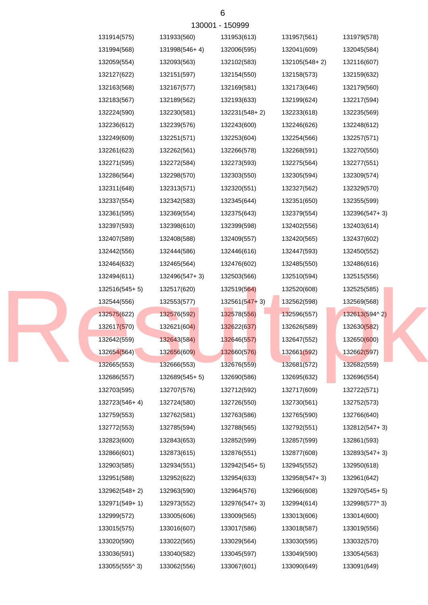| 130001 - 150999 |               |               |                 |               |               |  |  |
|-----------------|---------------|---------------|-----------------|---------------|---------------|--|--|
|                 | 131914(575)   | 131933(560)   | 131953(613)     | 131957(561)   | 131979(578)   |  |  |
|                 | 131994(568)   | 131998(546+4) | 132006(595)     | 132041(609)   | 132045(584)   |  |  |
|                 | 132059(554)   | 132093(563)   | 132102(583)     | 132105(548+2) | 132116(607)   |  |  |
|                 | 132127(622)   | 132151(597)   | 132154(550)     | 132158(573)   | 132159(632)   |  |  |
|                 | 132163(568)   | 132167(577)   | 132169(581)     | 132173(646)   | 132179(560)   |  |  |
|                 | 132183(567)   | 132189(562)   | 132193(633)     | 132199(624)   | 132217(594)   |  |  |
|                 | 132224(590)   | 132230(581)   | 132231(548+2)   | 132233(618)   | 132235(569)   |  |  |
|                 | 132236(612)   | 132239(576)   | 132243(600)     | 132246(626)   | 132248(612)   |  |  |
|                 | 132249(609)   | 132251(571)   | 132253(604)     | 132254(566)   | 132257(571)   |  |  |
|                 | 132261(623)   | 132262(561)   | 132266(578)     | 132268(591)   | 132270(550)   |  |  |
|                 | 132271(595)   | 132272(584)   | 132273(593)     | 132275(564)   | 132277(551)   |  |  |
|                 | 132286(564)   | 132298(570)   | 132303(550)     | 132305(594)   | 132309(574)   |  |  |
|                 | 132311(648)   | 132313(571)   | 132320(551)     | 132327(562)   | 132329(570)   |  |  |
|                 | 132337(554)   | 132342(583)   | 132345(644)     | 132351(650)   | 132355(599)   |  |  |
|                 | 132361(595)   | 132369(554)   | 132375(643)     | 132379(554)   | 132396(547+3) |  |  |
|                 | 132397(593)   | 132398(610)   | 132399(598)     | 132402(556)   | 132403(614)   |  |  |
|                 | 132407(589)   | 132408(588)   | 132409(557)     | 132420(565)   | 132437(602)   |  |  |
|                 | 132442(556)   | 132444(586)   | 132446(616)     | 132447(593)   | 132450(552)   |  |  |
|                 | 132464(632)   | 132465(564)   | 132476(602)     | 132485(550)   | 132486(616)   |  |  |
|                 | 132494(611)   | 132496(547+3) | 132503(566)     | 132510(594)   | 132515(556)   |  |  |
|                 | 132516(545+5) | 132517(620)   | 132519(564)     | 132520(608)   | 132525(585)   |  |  |
|                 | 132544(556)   | 132553(577)   | $132561(547+3)$ | 132562(598)   | 132569(568)   |  |  |
|                 | 132575(622)   | 132576(592)   | 132578(556)     | 132596(557)   | 132613(594^2) |  |  |
|                 | 132617(570)   | 132621(604)   | 132622(637)     | 132626(589)   | 132630(582)   |  |  |
|                 | 132642(559)   | 132643(584)   | 132646(557)     | 132647(552)   | 132650(600)   |  |  |
|                 | 132654(564)   | 132656(609)   | 132660(576)     | 132661(592)   | 132662(597)   |  |  |
|                 | 132665(553)   | 132666(553)   | 132676(559)     | 132681(572)   | 132682(559)   |  |  |
|                 | 132686(557)   | 132689(545+5) | 132690(586)     | 132695(632)   | 132696(554)   |  |  |
|                 | 132703(595)   | 132707(576)   | 132712(592)     | 132717(609)   | 132722(571)   |  |  |
|                 | 132723(546+4) | 132724(580)   | 132726(550)     | 132730(561)   | 132752(573)   |  |  |
|                 | 132759(553)   | 132762(581)   | 132763(586)     | 132765(590)   | 132766(640)   |  |  |
|                 | 132772(553)   | 132785(594)   | 132788(565)     | 132792(551)   | 132812(547+3) |  |  |
|                 | 132823(600)   | 132843(653)   | 132852(599)     | 132857(599)   | 132861(593)   |  |  |
|                 | 132866(601)   | 132873(615)   | 132876(551)     | 132877(608)   | 132893(547+3) |  |  |
|                 | 132903(585)   | 132934(551)   | 132942(545+5)   | 132945(552)   | 132950(618)   |  |  |
|                 | 132951(588)   | 132952(622)   | 132954(633)     | 132958(547+3) | 132961(642)   |  |  |
|                 | 132962(548+2) | 132963(590)   | 132964(576)     | 132966(608)   | 132970(545+5) |  |  |
|                 | 132971(549+1) | 132973(552)   | 132976(547+3)   | 132994(614)   | 132998(577^3) |  |  |
|                 | 132999(572)   | 133005(606)   | 133009(565)     | 133013(606)   | 133014(600)   |  |  |
|                 | 133015(575)   | 133016(607)   | 133017(586)     | 133018(587)   | 133019(556)   |  |  |
|                 | 133020(590)   | 133022(565)   | 133029(564)     | 133030(595)   | 133032(570)   |  |  |
|                 | 133036(591)   | 133040(582)   | 133045(597)     | 133049(590)   | 133054(563)   |  |  |
|                 | 133055(555^3) | 133062(556)   | 133067(601)     | 133090(649)   | 133091(649)   |  |  |
|                 |               |               |                 |               |               |  |  |

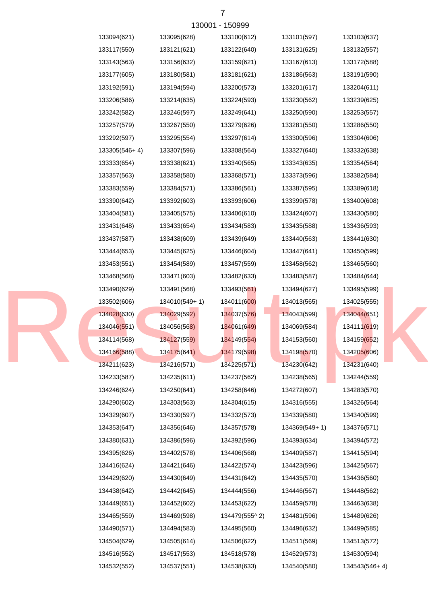| 133094(621)   | 133095(628)   | 133100(612)   | 133101(597)   | 133103(637)             |
|---------------|---------------|---------------|---------------|-------------------------|
| 133117(550)   | 133121(621)   | 133122(640)   | 133131(625)   | 133132(557)             |
| 133143(563)   | 133156(632)   | 133159(621)   | 133167(613)   | 133172(588)             |
| 133177(605)   | 133180(581)   | 133181(621)   | 133186(563)   | 133191(590)             |
| 133192(591)   | 133194(594)   | 133200(573)   | 133201(617)   | 133204(611)             |
| 133206(586)   | 133214(635)   | 133224(593)   | 133230(562)   | 133239(625)             |
| 133242(582)   | 133246(597)   | 133249(641)   | 133250(590)   | 133253(557)             |
| 133257(579)   | 133267(550)   | 133279(626)   | 133281(550)   | 133286(550)             |
| 133292(597)   | 133295(554)   | 133297(614)   | 133300(596)   | 133304(606)             |
| 133305(546+4) | 133307(596)   | 133308(564)   | 133327(640)   | 133332(638)             |
| 133333(654)   | 133338(621)   | 133340(565)   | 133343(635)   | 133354(564)             |
| 133357(563)   | 133358(580)   | 133368(571)   | 133373(596)   | 133382(584)             |
| 133383(559)   | 133384(571)   | 133386(561)   | 133387(595)   | 133389(618)             |
| 133390(642)   | 133392(603)   | 133393(606)   | 133399(578)   | 133400(608)             |
| 133404(581)   | 133405(575)   | 133406(610)   | 133424(607)   | 133430(580)             |
| 133431(648)   | 133433(654)   | 133434(583)   | 133435(588)   | 133436(593)             |
| 133437(587)   | 133438(609)   | 133439(649)   | 133440(563)   | 133441(630)             |
| 133444(653)   | 133445(625)   | 133446(604)   | 133447(641)   | 133450(599)             |
| 133453(551)   | 133454(589)   | 133457(559)   | 133458(562)   | 133465(560)             |
| 133468(568)   | 133471(603)   | 133482(633)   | 133483(587)   | 133484(644)             |
| 133490(629)   | 133491(568)   | 133493(561)   | 133494(627)   | 133495(599)             |
| 133502(606)   | 134010(549+1) | 134011(600)   | 134013(565)   | 134025(555)             |
| 134028(630)   | 134029(592)   | 134037(576)   | 134043(599)   | 134044(651)             |
| 134046(551)   | 134056(568)   | 134061(649)   | 134069(584)   | 134111(619)             |
| 134114(568)   | 134127(559)   | 134149(554)   | 134153(560)   | 134159 <sub>(652)</sub> |
| 134166(588)   | 134175(641)   | 134179(598)   | 134198(570)   | 134205(606)             |
| 134211(623)   | 134216(571)   | 134225(571)   | 134230(642)   | 134231(640)             |
| 134233(587)   | 134235(611)   | 134237(562)   | 134238(565)   | 134244(559)             |
| 134246(624)   | 134250(641)   | 134258(646)   | 134272(607)   | 134283(570)             |
| 134290(602)   | 134303(563)   | 134304(615)   | 134316(555)   | 134326(564)             |
| 134329(607)   | 134330(597)   | 134332(573)   | 134339(580)   | 134340(599)             |
| 134353(647)   | 134356(646)   | 134357(578)   | 134369(549+1) | 134376(571)             |
| 134380(631)   | 134386(596)   | 134392(596)   | 134393(634)   | 134394(572)             |
| 134395(626)   | 134402(578)   | 134406(568)   | 134409(587)   | 134415(594)             |
| 134416(624)   | 134421(646)   | 134422(574)   | 134423(596)   | 134425(567)             |
| 134429(620)   | 134430(649)   | 134431(642)   | 134435(570)   | 134436(560)             |
| 134438(642)   | 134442(645)   | 134444(556)   | 134446(567)   | 134448(562)             |
| 134449(651)   | 134452(602)   | 134453(622)   | 134459(578)   | 134463(638)             |
| 134465(559)   | 134469(598)   | 134479(555^2) | 134481(596)   | 134489(626)             |
| 134490(571)   | 134494(583)   | 134495(560)   | 134496(632)   | 134499(585)             |
| 134504(629)   | 134505(614)   | 134506(622)   | 134511(569)   | 134513(572)             |
| 134516(552)   | 134517(553)   | 134518(578)   | 134529(573)   | 134530(594)             |
| 134532(552)   | 134537(551)   | 134538(633)   | 134540(580)   | 134543(546+4)           |

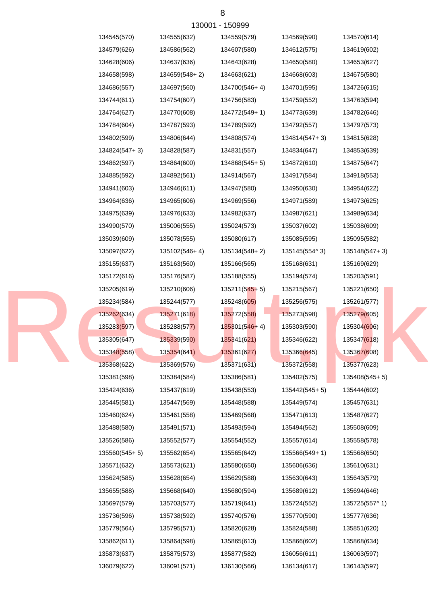| 134545(570)     | 134555(632)   | 134559(579)     | 134569(590)   | 134570(614)   |
|-----------------|---------------|-----------------|---------------|---------------|
| 134579(626)     | 134586(562)   | 134607(580)     | 134612(575)   | 134619(602)   |
| 134628(606)     | 134637(636)   | 134643(628)     | 134650(580)   | 134653(627)   |
| 134658(598)     | 134659(548+2) | 134663(621)     | 134668(603)   | 134675(580)   |
| 134686(557)     | 134697(560)   | 134700(546+4)   | 134701(595)   | 134726(615)   |
| 134744(611)     | 134754(607)   | 134756(583)     | 134759(552)   | 134763(594)   |
| 134764(627)     | 134770(608)   | 134772(549+1)   | 134773(639)   | 134782(646)   |
| 134784(604)     | 134787(593)   | 134789(592)     | 134792(557)   | 134797(573)   |
| 134802(599)     | 134806(644)   | 134808(574)     | 134814(547+3) | 134815(628)   |
| 134824(547+3)   | 134828(587)   | 134831(557)     | 134834(647)   | 134853(639)   |
| 134862(597)     | 134864(600)   | 134868(545+5)   | 134872(610)   | 134875(647)   |
| 134885(592)     | 134892(561)   | 134914(567)     | 134917(584)   | 134918(553)   |
| 134941(603)     | 134946(611)   | 134947(580)     | 134950(630)   | 134954(622)   |
| 134964(636)     | 134965(606)   | 134969(556)     | 134971(589)   | 134973(625)   |
| 134975(639)     | 134976(633)   | 134982(637)     | 134987(621)   | 134989(634)   |
| 134990(570)     | 135006(555)   | 135024(573)     | 135037(602)   | 135038(609)   |
| 135039(609)     | 135078(555)   | 135080(617)     | 135085(595)   | 135095(582)   |
| 135097(622)     | 135102(546+4) | 135134(548+2)   | 135145(554^3) | 135148(547+3) |
| 135155(637)     | 135163(560)   | 135166(565)     | 135168(631)   | 135169(629)   |
| 135172(616)     | 135176(587)   | 135188(555)     | 135194(574)   | 135203(591)   |
| 135205(619)     | 135210(606)   | $135211(545+5)$ | 135215(567)   | 135221(650)   |
| 135234(584)     | 135244(577)   | 135248(605)     | 135256(575)   | 135261(577)   |
| 135262(634)     | 135271(618)   | 135272(558)     | 135273(598)   | 135279(605)   |
| 135283(597)     | 135288(577)   | 135301(546+4)   | 135303(590)   | 135304(606)   |
| 135305(647)     | 135339(590)   | 135341(621)     | 135346(622)   | 135347(618)   |
| 135348(558)     | 135354(641)   | 135361(627)     | 135366(645)   | 135367(608)   |
| 135368(622)     | 135369(576)   | 135371(631)     | 135372(558)   | 135377(623)   |
| 135381(598)     | 135384(584)   | 135386(581)     | 135402(575)   | 135408(545+5) |
| 135424(636)     | 135437(619)   | 135438(553)     | 135442(545+5) | 135444(602)   |
| 135445(581)     | 135447(569)   | 135448(588)     | 135449(574)   | 135457(631)   |
| 135460(624)     | 135461(558)   | 135469(568)     | 135471(613)   | 135487(627)   |
| 135488(580)     | 135491(571)   | 135493(594)     | 135494(562)   | 135508(609)   |
| 135526(586)     | 135552(577)   | 135554(552)     | 135557(614)   | 135558(578)   |
| $135560(545+5)$ | 135562(654)   | 135565(642)     | 135566(549+1) | 135568(650)   |
| 135571(632)     | 135573(621)   | 135580(650)     | 135606(636)   | 135610(631)   |
| 135624(585)     | 135628(654)   | 135629(588)     | 135630(643)   | 135643(579)   |
| 135655(588)     | 135668(640)   | 135680(594)     | 135689(612)   | 135694(646)   |
| 135697(579)     | 135703(577)   | 135719(641)     | 135724(552)   | 135725(557^1) |
| 135736(596)     | 135738(592)   | 135740(576)     | 135770(590)   | 135777(636)   |
| 135779(564)     | 135795(571)   | 135820(628)     | 135824(588)   | 135851(620)   |
| 135862(611)     | 135864(598)   | 135865(613)     | 135866(602)   | 135868(634)   |
| 135873(637)     | 135875(573)   | 135877(582)     | 136056(611)   | 136063(597)   |
| 136079(622)     | 136091(571)   | 136130(566)     | 136134(617)   | 136143(597)   |

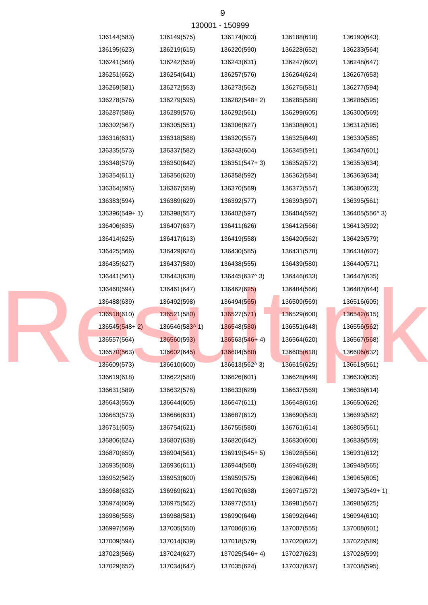| 136144(583)   | 136149(575)   | 136174(603)     | 136188(618) | 136190(643)   |
|---------------|---------------|-----------------|-------------|---------------|
| 136195(623)   | 136219(615)   | 136220(590)     | 136228(652) | 136233(564)   |
| 136241(568)   | 136242(559)   | 136243(631)     | 136247(602) | 136248(647)   |
| 136251(652)   | 136254(641)   | 136257(576)     | 136264(624) | 136267(653)   |
| 136269(581)   | 136272(553)   | 136273(562)     | 136275(581) | 136277(594)   |
| 136278(576)   | 136279(595)   | 136282(548+2)   | 136285(588) | 136286(595)   |
| 136287(586)   | 136289(576)   | 136292(561)     | 136299(605) | 136300(569)   |
| 136302(567)   | 136305(551)   | 136306(627)     | 136308(601) | 136312(595)   |
| 136316(631)   | 136318(588)   | 136320(557)     | 136325(649) | 136330(585)   |
| 136335(573)   | 136337(582)   | 136343(604)     | 136345(591) | 136347(601)   |
| 136348(579)   | 136350(642)   | $136351(547+3)$ | 136352(572) | 136353(634)   |
| 136354(611)   | 136356(620)   | 136358(592)     | 136362(584) | 136363(634)   |
| 136364(595)   | 136367(559)   | 136370(569)     | 136372(557) | 136380(623)   |
| 136383(594)   | 136389(629)   | 136392(577)     | 136393(597) | 136395(561)   |
| 136396(549+1) | 136398(557)   | 136402(597)     | 136404(592) | 136405(556^3) |
| 136406(635)   | 136407(637)   | 136411(626)     | 136412(566) | 136413(592)   |
| 136414(625)   | 136417(613)   | 136419(558)     | 136420(562) | 136423(579)   |
| 136425(566)   | 136429(624)   | 136430(585)     | 136431(578) | 136434(607)   |
| 136435(627)   | 136437(580)   | 136438(555)     | 136439(580) | 136440(571)   |
| 136441(561)   | 136443(638)   | 136445(637^3)   | 136446(633) | 136447(635)   |
| 136460(594)   | 136461(647)   | 136462(625)     | 136484(566) | 136487(644)   |
| 136488(639)   | 136492(598)   | 136494(565)     | 136509(569) | 136516(605)   |
| 136518(610)   | 136521(580)   | 136527(571)     | 136529(600) | 136542(615)   |
| 136545(548+2) | 136546(583^1) | 136548(580)     | 136551(648) | 136556(562)   |
| 136557(564)   | 136560(593)   | 136563(546+4)   | 136564(620) | 136567(568)   |
| 136570(563)   | 136602(645)   | 136604(560)     | 136605(618) | 136606(632)   |
| 136609(573)   | 136610(600)   | 136613(562^3)   | 136615(625) | 136618(561)   |
| 136619(618)   | 136622(580)   | 136626(601)     | 136628(649) | 136630(635)   |
| 136631(589)   | 136632(576)   | 136633(629)     | 136637(569) | 136638(614)   |
| 136643(550)   | 136644(605)   | 136647(611)     | 136648(616) | 136650(626)   |
| 136683(573)   | 136686(631)   | 136687(612)     | 136690(583) | 136693(582)   |
| 136751(605)   | 136754(621)   | 136755(580)     | 136761(614) | 136805(561)   |
| 136806(624)   | 136807(638)   | 136820(642)     | 136830(600) | 136838(569)   |
| 136870(650)   | 136904(561)   | $136919(545+5)$ | 136928(556) | 136931(612)   |
| 136935(608)   | 136936(611)   | 136944(560)     | 136945(628) | 136948(565)   |
| 136952(562)   | 136953(600)   | 136959(575)     | 136962(646) | 136965(605)   |
| 136968(632)   | 136969(621)   | 136970(638)     | 136971(572) | 136973(549+1) |
| 136974(609)   | 136975(562)   | 136977(551)     | 136981(567) | 136985(625)   |
| 136986(558)   | 136988(581)   | 136990(646)     | 136992(646) | 136994(610)   |
| 136997(569)   | 137005(550)   | 137006(616)     | 137007(555) | 137008(601)   |
| 137009(594)   | 137014(639)   | 137018(579)     | 137020(622) | 137022(589)   |
| 137023(566)   | 137024(627)   | 137025(546+4)   | 137027(623) | 137028(599)   |
| 137029(652)   | 137034(647)   | 137035(624)     | 137037(637) | 137038(595)   |
|               |               |                 |             |               |

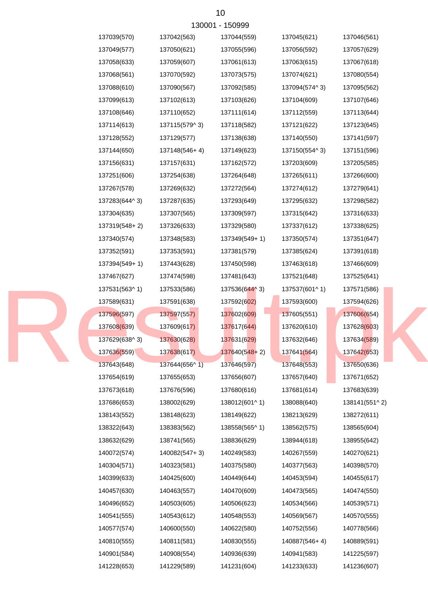|               |               | 130001 - 150999 |               |                         |
|---------------|---------------|-----------------|---------------|-------------------------|
| 137039(570)   | 137042(563)   | 137044(559)     | 137045(621)   | 137046(561)             |
| 137049(577)   | 137050(621)   | 137055(596)     | 137056(592)   | 137057(629)             |
| 137058(633)   | 137059(607)   | 137061(613)     | 137063(615)   | 137067(618)             |
| 137068(561)   | 137070(592)   | 137073(575)     | 137074(621)   | 137080(554)             |
| 137088(610)   | 137090(567)   | 137092(585)     | 137094(574^3) | 137095(562)             |
| 137099(613)   | 137102(613)   | 137103(626)     | 137104(609)   | 137107(646)             |
| 137108(646)   | 137110(652)   | 137111(614)     | 137112(559)   | 137113(644)             |
| 137114(613)   | 137115(579^3) | 137118(582)     | 137121(622)   | 137123(645)             |
| 137128(552)   | 137129(577)   | 137138(638)     | 137140(550)   | 137141(597)             |
| 137144(650)   | 137148(546+4) | 137149(623)     | 137150(554^3) | 137151(596)             |
| 137156(631)   | 137157(631)   | 137162(572)     | 137203(609)   | 137205(585)             |
| 137251(606)   | 137254(638)   | 137264(648)     | 137265(611)   | 137266(600)             |
| 137267(578)   | 137269(632)   | 137272(564)     | 137274(612)   | 137279(641)             |
| 137283(644^3) | 137287(635)   | 137293(649)     | 137295(632)   | 137298(582)             |
| 137304(635)   | 137307(565)   | 137309(597)     | 137315(642)   | 137316(633)             |
| 137319(548+2) | 137326(633)   | 137329(580)     | 137337(612)   | 137338(625)             |
| 137340(574)   | 137348(583)   | 137349(549+1)   | 137350(574)   | 137351(647)             |
| 137352(591)   | 137353(591)   | 137381(579)     | 137385(624)   | 137391(618)             |
| 137394(549+1) | 137443(628)   | 137450(598)     | 137463(618)   | 137466(609)             |
| 137467(627)   | 137474(598)   | 137481(643)     | 137521(648)   | 137525(641)             |
| 137531(563^1) | 137533(586)   | 137536(644^3)   | 137537(601^1) | 137571(586)             |
| 137589(631)   | 137591(638)   | 137592(602)     | 137593(600)   | 137594(626)             |
| 137596(597)   | 137597(557)   | 137602(609)     | 137605(551)   | 137606(654)             |
| 137608(639)   | 137609(617)   | 137617(644)     | 137620(610)   | 137628(603)             |
| 137629(638^3) | 137630(628)   | 137631(629)     | 137632(646)   | 137634 <sub>(589)</sub> |
| 137636(559)   | 137638(617)   | 137640(548+2)   | 137641(564)   | 137642(653)             |
| 137643(648)   | 137644(656^1) | 137646(597)     | 137648(553)   | 137650(636)             |
| 137654(619)   | 137655(653)   | 137656(607)     | 137657(640)   | 137671(652)             |
| 137673(618)   | 137676(596)   | 137680(616)     | 137681(614)   | 137683(639)             |
| 137686(653)   | 138002(629)   | 138012(601^1)   | 138088(640)   | 138141(551^2)           |
| 138143(552)   | 138148(623)   | 138149(622)     | 138213(629)   | 138272(611)             |
| 138322(643)   | 138383(562)   | 138558(565^1)   | 138562(575)   | 138565(604)             |
| 138632(629)   | 138741(565)   | 138836(629)     | 138944(618)   | 138955(642)             |
| 140072(574)   | 140082(547+3) | 140249(583)     | 140267(559)   | 140270(621)             |
| 140304(571)   | 140323(581)   | 140375(580)     | 140377(563)   | 140398(570)             |
| 140399(633)   | 140425(600)   | 140449(644)     | 140453(594)   | 140455(617)             |
| 140457(630)   | 140463(557)   | 140470(609)     | 140473(565)   | 140474(550)             |
| 140496(652)   | 140503(605)   | 140506(623)     | 140534(566)   | 140539(571)             |
| 140541(555)   | 140543(612)   | 140548(553)     | 140569(567)   | 140570(555)             |
| 140577(574)   | 140600(550)   | 140622(580)     | 140752(556)   | 140778(566)             |
| 140810(555)   | 140811(581)   | 140830(555)     | 140887(546+4) | 140889(591)             |
| 140901(584)   | 140908(554)   | 140936(639)     | 140941(583)   | 141225(597)             |
| 141228(653)   | 141229(589)   | 141231(604)     | 141233(633)   | 141236(607)             |

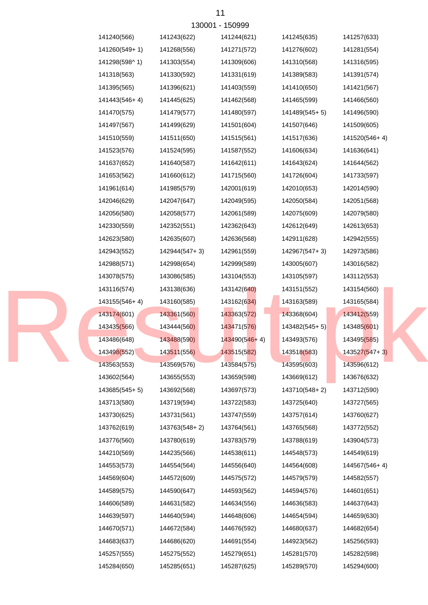|               |               | 130001 - 150999 |                 |                 |
|---------------|---------------|-----------------|-----------------|-----------------|
| 141240(566)   | 141243(622)   | 141244(621)     | 141245(635)     | 141257(633)     |
| 141260(549+1) | 141268(556)   | 141271(572)     | 141276(602)     | 141281(554)     |
| 141298(598^1) | 141303(554)   | 141309(606)     | 141310(568)     | 141316(595)     |
| 141318(563)   | 141330(592)   | 141331(619)     | 141389(583)     | 141391(574)     |
| 141395(565)   | 141396(621)   | 141403(559)     | 141410(650)     | 141421(567)     |
| 141443(546+4) | 141445(625)   | 141462(568)     | 141465(599)     | 141466(560)     |
| 141470(575)   | 141479(577)   | 141480(597)     | 141489(545+5)   | 141496(590)     |
| 141497(567)   | 141499(629)   | 141501(604)     | 141507(646)     | 141509(605)     |
| 141510(559)   | 141511(650)   | 141515(561)     | 141517(636)     | 141520(546+4)   |
| 141523(576)   | 141524(595)   | 141587(552)     | 141606(634)     | 141636(641)     |
| 141637(652)   | 141640(587)   | 141642(611)     | 141643(624)     | 141644(562)     |
| 141653(562)   | 141660(612)   | 141715(560)     | 141726(604)     | 141733(597)     |
| 141961(614)   | 141985(579)   | 142001(619)     | 142010(653)     | 142014(590)     |
| 142046(629)   | 142047(647)   | 142049(595)     | 142050(584)     | 142051(568)     |
| 142056(580)   | 142058(577)   | 142061(589)     | 142075(609)     | 142079(580)     |
| 142330(559)   | 142352(551)   | 142362(643)     | 142612(649)     | 142613(653)     |
| 142623(580)   | 142635(607)   | 142636(568)     | 142911(628)     | 142942(555)     |
| 142943(552)   | 142944(547+3) | 142961(559)     | 142967(547+3)   | 142973(586)     |
| 142988(571)   | 142998(654)   | 142999(589)     | 143005(607)     | 143016(582)     |
| 143078(575)   | 143086(585)   | 143104(553)     | 143105(597)     | 143112(553)     |
| 143116(574)   | 143138(636)   | 143142(640)     | 143151(552)     | 143154(560)     |
| 143155(546+4) | 143160(585)   | 143162(634)     | 143163(589)     | 143165(584)     |
| 143174(601)   | 143361(560)   | 143363(572)     | 143368(604)     | 143412(559)     |
| 143435(566)   | 143444(560)   | 143471(576)     | $143482(545+5)$ | 143485(601)     |
| 143486(648)   | 143488(590)   | 143490(546+4)   | 143493(576)     | 143495(585)     |
| 143498(552)   | 143511(556)   | 143515(582)     | 143518(583)     | $143527(547+3)$ |
| 143563(553)   | 143569(576)   | 143584(575)     | 143595(603)     | 143596(612)     |
| 143602(564)   | 143655(553)   | 143659(598)     | 143669(612)     | 143676(632)     |
| 143685(545+5) | 143692(568)   | 143697(573)     | 143710(548+2)   | 143712(590)     |
| 143713(580)   | 143719(594)   | 143722(583)     | 143725(640)     | 143727(565)     |
| 143730(625)   | 143731(561)   | 143747(559)     | 143757(614)     | 143760(627)     |
| 143762(619)   | 143763(548+2) | 143764(561)     | 143765(568)     | 143772(552)     |
| 143776(560)   | 143780(619)   | 143783(579)     | 143788(619)     | 143904(573)     |
| 144210(569)   | 144235(566)   | 144538(611)     | 144548(573)     | 144549(619)     |
| 144553(573)   | 144554(564)   | 144556(640)     | 144564(608)     | 144567(546+4)   |
| 144569(604)   | 144572(609)   | 144575(572)     | 144579(579)     | 144582(557)     |
| 144589(575)   | 144590(647)   | 144593(562)     | 144594(576)     | 144601(651)     |
| 144606(589)   | 144631(582)   | 144634(556)     | 144636(583)     | 144637(643)     |
| 144639(597)   | 144640(594)   | 144648(606)     | 144654(594)     | 144659(630)     |
| 144670(571)   | 144672(584)   | 144676(592)     | 144680(637)     | 144682(654)     |
| 144683(637)   | 144686(620)   | 144691(554)     | 144923(562)     | 145256(593)     |
| 145257(555)   | 145275(552)   | 145279(651)     | 145281(570)     | 145282(598)     |
| 145284(650)   | 145285(651)   | 145287(625)     | 145289(570)     | 145294(600)     |

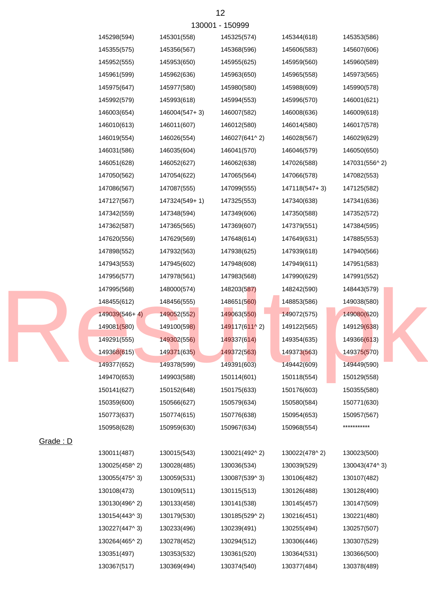| 130001 - 150999 |                 |               |               |               |               |  |  |
|-----------------|-----------------|---------------|---------------|---------------|---------------|--|--|
|                 | 145298(594)     | 145301(558)   | 145325(574)   | 145344(618)   | 145353(586)   |  |  |
|                 | 145355(575)     | 145356(567)   | 145368(596)   | 145606(583)   | 145607(606)   |  |  |
|                 | 145952(555)     | 145953(650)   | 145955(625)   | 145959(560)   | 145960(589)   |  |  |
|                 | 145961(599)     | 145962(636)   | 145963(650)   | 145965(558)   | 145973(565)   |  |  |
|                 | 145975(647)     | 145977(580)   | 145980(580)   | 145988(609)   | 145990(578)   |  |  |
|                 | 145992(579)     | 145993(618)   | 145994(553)   | 145996(570)   | 146001(621)   |  |  |
|                 | 146003(654)     | 146004(547+3) | 146007(582)   | 146008(636)   | 146009(618)   |  |  |
|                 | 146010(613)     | 146011(607)   | 146012(580)   | 146014(580)   | 146017(578)   |  |  |
|                 | 146019(554)     | 146026(554)   | 146027(641^2) | 146028(567)   | 146029(629)   |  |  |
|                 | 146031(586)     | 146035(604)   | 146041(570)   | 146046(579)   | 146050(650)   |  |  |
|                 | 146051(628)     | 146052(627)   | 146062(638)   | 147026(588)   | 147031(556^2) |  |  |
|                 | 147050(562)     | 147054(622)   | 147065(564)   | 147066(578)   | 147082(553)   |  |  |
|                 | 147086(567)     | 147087(555)   | 147099(555)   | 147118(547+3) | 147125(582)   |  |  |
|                 | 147127(567)     | 147324(549+1) | 147325(553)   | 147340(638)   | 147341(636)   |  |  |
|                 | 147342(559)     | 147348(594)   | 147349(606)   | 147350(588)   | 147352(572)   |  |  |
|                 | 147362(587)     | 147365(565)   | 147369(607)   | 147379(551)   | 147384(595)   |  |  |
|                 | 147620(556)     | 147629(569)   | 147648(614)   | 147649(631)   | 147885(553)   |  |  |
|                 | 147898(552)     | 147932(563)   | 147938(625)   | 147939(618)   | 147940(566)   |  |  |
|                 | 147943(553)     | 147945(602)   | 147948(608)   | 147949(611)   | 147951(583)   |  |  |
|                 | 147956(577)     | 147978(561)   | 147983(568)   | 147990(629)   | 147991(552)   |  |  |
|                 | 147995(568)     | 148000(574)   | 148203(587)   | 148242(590)   | 148443(579)   |  |  |
|                 | 148455(612)     | 148456(555)   | 148651(560)   | 148853(586)   | 149038(580)   |  |  |
|                 | $149039(546+4)$ | 149052(552)   | 149063(550)   | 149072(575)   | 149080(620)   |  |  |
|                 | 149081(580)     | 149100(598)   | 149117(611^2) | 149122(565)   | 149129(638)   |  |  |
|                 | 149291(555)     | 149302(556)   | 149337(614)   | 149354(635)   | 149366(613)   |  |  |
|                 | 149368(615)     | 149371(635)   | 149372(563)   | 149373(563)   | 149375(570)   |  |  |
|                 | 149377(652)     | 149378(599)   | 149391(603)   | 149442(609)   | 149449(590)   |  |  |
|                 | 149470(653)     | 149903(588)   | 150114(601)   | 150118(554)   | 150129(558)   |  |  |
|                 | 150141(627)     | 150152(648)   | 150175(633)   | 150176(603)   | 150355(580)   |  |  |
|                 | 150359(600)     | 150566(627)   | 150579(634)   | 150580(584)   | 150771(630)   |  |  |
|                 | 150773(637)     | 150774(615)   | 150776(638)   | 150954(653)   | 150957(567)   |  |  |
|                 | 150958(628)     | 150959(630)   | 150967(634)   | 150968(554)   | ***********   |  |  |
| Grade: D        |                 |               |               |               |               |  |  |
|                 | 130011(487)     | 130015(543)   | 130021(492^2) | 130022(478^2) | 130023(500)   |  |  |
|                 | 130025(458^2)   | 130028(485)   | 130036(534)   | 130039(529)   | 130043(474^3) |  |  |
|                 | 130055(475^3)   | 130059(531)   | 130087(539^3) | 130106(482)   | 130107(482)   |  |  |
|                 | 130108(473)     | 130109(511)   | 130115(513)   | 130126(488)   | 130128(490)   |  |  |
|                 | 130130(496^2)   | 130133(458)   | 130141(538)   | 130145(457)   | 130147(509)   |  |  |
|                 | 130154(443^3)   | 130179(530)   | 130185(529^2) | 130216(451)   | 130221(480)   |  |  |
|                 | 130227(447^3)   | 130233(496)   | 130239(491)   | 130255(494)   | 130257(507)   |  |  |
|                 | 130264(465^2)   | 130278(452)   | 130294(512)   | 130306(446)   | 130307(529)   |  |  |
|                 | 130351(497)     | 130353(532)   | 130361(520)   | 130364(531)   | 130366(500)   |  |  |
|                 | 130367(517)     | 130369(494)   | 130374(540)   | 130377(484)   | 130378(489)   |  |  |

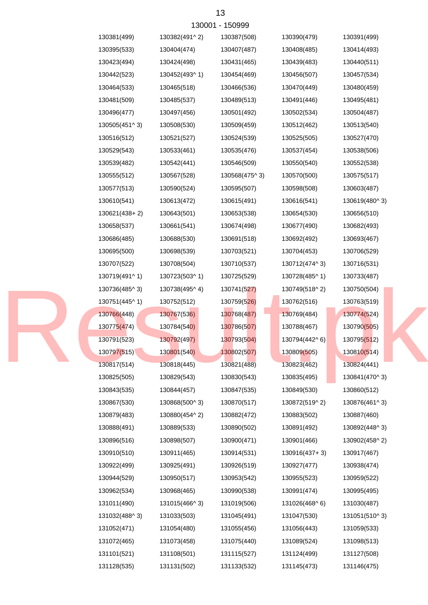| 130381(499)   | 130382(491^2) | 130387(508)   | 130390(479)   | 130391(499)   |
|---------------|---------------|---------------|---------------|---------------|
| 130395(533)   | 130404(474)   | 130407(487)   | 130408(485)   | 130414(493)   |
| 130423(494)   | 130424(498)   | 130431(465)   | 130439(483)   | 130440(511)   |
| 130442(523)   | 130452(493^1) | 130454(469)   | 130456(507)   | 130457(534)   |
| 130464(533)   | 130465(518)   | 130466(536)   | 130470(449)   | 130480(459)   |
| 130481(509)   | 130485(537)   | 130489(513)   | 130491(446)   | 130495(481)   |
| 130496(477)   | 130497(456)   | 130501(492)   | 130502(534)   | 130504(487)   |
| 130505(451^3) | 130508(530)   | 130509(459)   | 130512(462)   | 130513(540)   |
| 130516(512)   | 130521(527)   | 130524(539)   | 130525(505)   | 130527(470)   |
| 130529(543)   | 130533(461)   | 130535(476)   | 130537(454)   | 130538(506)   |
| 130539(482)   | 130542(441)   | 130546(509)   | 130550(540)   | 130552(538)   |
| 130555(512)   | 130567(528)   | 130568(475^3) | 130570(500)   | 130575(517)   |
| 130577(513)   | 130590(524)   | 130595(507)   | 130598(508)   | 130603(487)   |
| 130610(541)   | 130613(472)   | 130615(491)   | 130616(541)   | 130619(480^3) |
| 130621(438+2) | 130643(501)   | 130653(538)   | 130654(530)   | 130656(510)   |
| 130658(537)   | 130661(541)   | 130674(498)   | 130677(490)   | 130682(493)   |
| 130686(485)   | 130688(530)   | 130691(518)   | 130692(492)   | 130693(467)   |
| 130695(500)   | 130698(539)   | 130703(521)   | 130704(453)   | 130706(529)   |
| 130707(522)   | 130708(504)   | 130710(537)   | 130712(474^3) | 130716(531)   |
| 130719(491^1) | 130723(503^1) | 130725(529)   | 130728(485^1) | 130733(487)   |
| 130736(485^3) | 130738(495^4) | 130741(527)   | 130749(518^2) | 130750(504)   |
| 130751(445^1) | 130752(512)   | 130759(526)   | 130762(516)   | 130763(519)   |
| 130766(448)   | 130767(536)   | 130768(487)   | 130769(484)   | 130774(524)   |
| 130775(474)   | 130784(540)   | 130786(507)   | 130788(467)   | 130790(505)   |
| 130791(523)   | 130792(497)   | 130793(504)   | 130794(442^6) | 130795(512)   |
| 130797(515)   | 130801(540)   | 130802(507)   | 130809(505)   | 130810(514)   |
| 130817(514)   | 130818(445)   | 130821(488)   | 130823(462)   | 130824(441)   |
| 130825(505)   | 130829(543)   | 130830(543)   | 130835(495)   | 130841(470^3) |
| 130843(535)   | 130844(457)   | 130847(535)   | 130849(530)   | 130860(512)   |
| 130867(530)   | 130868(500^3) | 130870(517)   | 130872(519^2) | 130876(461^3) |
| 130879(483)   | 130880(454^2) | 130882(472)   | 130883(502)   | 130887(460)   |
| 130888(491)   | 130889(533)   | 130890(502)   | 130891(492)   | 130892(448^3) |
| 130896(516)   | 130898(507)   | 130900(471)   | 130901(466)   | 130902(458^2) |
| 130910(510)   | 130911(465)   | 130914(531)   | 130916(437+3) | 130917(467)   |
| 130922(499)   | 130925(491)   | 130926(519)   | 130927(477)   | 130938(474)   |
| 130944(529)   | 130950(517)   | 130953(542)   | 130955(523)   | 130959(522)   |
| 130962(534)   | 130968(465)   | 130990(538)   | 130991(474)   | 130995(495)   |
| 131011(490)   | 131015(466^3) | 131019(506)   | 131026(468^6) | 131030(487)   |
| 131032(488^3) | 131033(503)   | 131045(491)   | 131047(530)   | 131051(510^3) |
| 131052(471)   | 131054(480)   | 131055(456)   | 131056(443)   | 131059(533)   |
| 131072(465)   | 131073(458)   | 131075(440)   | 131089(524)   | 131098(513)   |
| 131101(521)   | 131108(501)   | 131115(527)   | 131124(499)   | 131127(508)   |
| 131128(535)   | 131131(502)   | 131133(532)   | 131145(473)   | 131146(475)   |
|               |               |               |               |               |

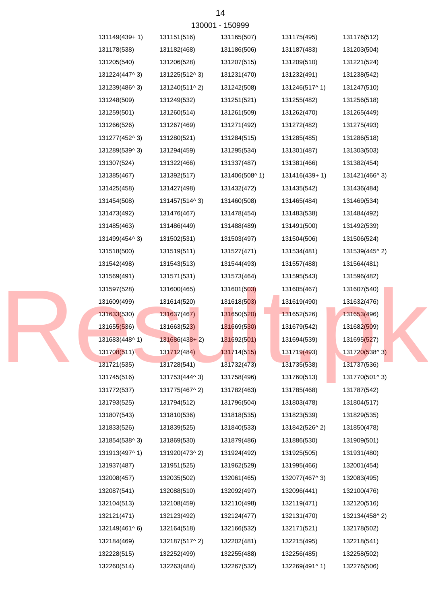| 131149(439+1) | 131151(516)   | 131165(507)   | 131175(495)   | 131176(512)   |
|---------------|---------------|---------------|---------------|---------------|
| 131178(538)   | 131182(468)   | 131186(506)   | 131187(483)   | 131203(504)   |
| 131205(540)   | 131206(528)   | 131207(515)   | 131209(510)   | 131221(524)   |
| 131224(447^3) | 131225(512^3) | 131231(470)   | 131232(491)   | 131238(542)   |
| 131239(486^3) | 131240(511^2) | 131242(508)   | 131246(517^1) | 131247(510)   |
| 131248(509)   | 131249(532)   | 131251(521)   | 131255(482)   | 131256(518)   |
| 131259(501)   | 131260(514)   | 131261(509)   | 131262(470)   | 131265(449)   |
| 131266(526)   | 131267(469)   | 131271(492)   | 131272(482)   | 131275(493)   |
| 131277(452^3) | 131280(521)   | 131284(515)   | 131285(485)   | 131286(518)   |
| 131289(539^3) | 131294(459)   | 131295(534)   | 131301(487)   | 131303(503)   |
| 131307(524)   | 131322(466)   | 131337(487)   | 131381(466)   | 131382(454)   |
| 131385(467)   | 131392(517)   | 131406(508^1) | 131416(439+1) | 131421(466^3) |
| 131425(458)   | 131427(498)   | 131432(472)   | 131435(542)   | 131436(484)   |
| 131454(508)   | 131457(514^3) | 131460(508)   | 131465(484)   | 131469(534)   |
| 131473(492)   | 131476(467)   | 131478(454)   | 131483(538)   | 131484(492)   |
| 131485(463)   | 131486(449)   | 131488(489)   | 131491(500)   | 131492(539)   |
| 131499(454^3) | 131502(531)   | 131503(497)   | 131504(506)   | 131506(524)   |
| 131518(500)   | 131519(511)   | 131527(471)   | 131534(481)   | 131539(445^2) |
| 131542(498)   | 131543(513)   | 131544(493)   | 131557(488)   | 131564(481)   |
| 131569(491)   | 131571(531)   | 131573(464)   | 131595(543)   | 131596(482)   |
| 131597(528)   | 131600(465)   | 131601(503)   | 131605(467)   | 131607(540)   |
| 131609(499)   | 131614(520)   | 131618(503)   | 131619(490)   | 131632(476)   |
| 131633(530)   | 131637(467)   | 131650(520)   | 131652(526)   | 131653(496)   |
| 131655(536)   | 131663(523)   | 131669(530)   | 131679(542)   | 131682(509)   |
| 131683(448^1) | 131686(438+2) | 131692(501)   | 131694(539)   | 131695(527)   |
| 131708(511)   | 131712(484)   | 131714(515)   | 131719(493)   | 131720(538^3) |
| 131721(535)   | 131728(541)   | 131732(473)   | 131735(538)   | 131737(536)   |
| 131745(516)   | 131753(444^3) | 131758(496)   | 131760(513)   | 131770(501^3) |
| 131772(537)   | 131775(467^2) | 131782(463)   | 131785(468)   | 131787(542)   |
| 131793(525)   | 131794(512)   | 131796(504)   | 131803(478)   | 131804(517)   |
| 131807(543)   | 131810(536)   | 131818(535)   | 131823(539)   | 131829(535)   |
| 131833(526)   | 131839(525)   | 131840(533)   | 131842(526^2) | 131850(478)   |
| 131854(538^3) | 131869(530)   | 131879(486)   | 131886(530)   | 131909(501)   |
| 131913(497^1) | 131920(473^2) | 131924(492)   | 131925(505)   | 131931(480)   |
| 131937(487)   | 131951(525)   | 131962(529)   | 131995(466)   | 132001(454)   |
| 132008(457)   | 132035(502)   | 132061(465)   | 132077(467^3) | 132083(495)   |
| 132087(541)   | 132088(510)   | 132092(497)   | 132096(441)   | 132100(476)   |
| 132104(513)   | 132108(459)   | 132110(498)   | 132119(471)   | 132120(516)   |
| 132121(471)   | 132123(492)   | 132124(477)   | 132131(470)   | 132134(458^2) |
| 132149(461^6) | 132164(518)   | 132166(532)   | 132171(521)   | 132178(502)   |
| 132184(469)   | 132187(517^2) | 132202(481)   | 132215(495)   | 132218(541)   |
| 132228(515)   | 132252(499)   | 132255(488)   | 132256(485)   | 132258(502)   |
| 132260(514)   | 132263(484)   | 132267(532)   | 132269(491^1) | 132276(506)   |

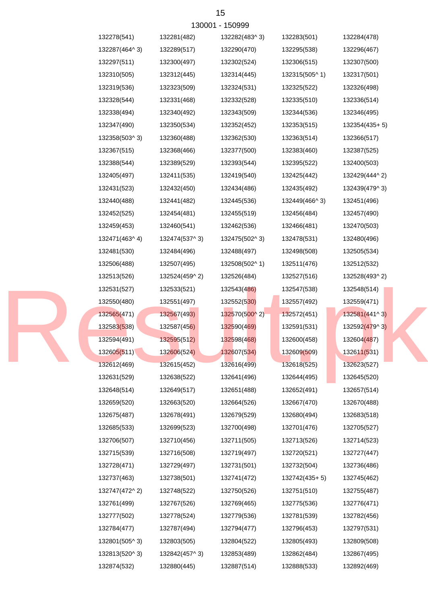|               |               | 130001 - 150999 |               |               |
|---------------|---------------|-----------------|---------------|---------------|
| 132278(541)   | 132281(482)   | 132282(483^3)   | 132283(501)   | 132284(478)   |
| 132287(464^3) | 132289(517)   | 132290(470)     | 132295(538)   | 132296(467)   |
| 132297(511)   | 132300(497)   | 132302(524)     | 132306(515)   | 132307(500)   |
| 132310(505)   | 132312(445)   | 132314(445)     | 132315(505^1) | 132317(501)   |
| 132319(536)   | 132323(509)   | 132324(531)     | 132325(522)   | 132326(498)   |
| 132328(544)   | 132331(468)   | 132332(528)     | 132335(510)   | 132336(514)   |
| 132338(494)   | 132340(492)   | 132343(509)     | 132344(536)   | 132346(495)   |
| 132347(490)   | 132350(534)   | 132352(452)     | 132353(515)   | 132354(435+5) |
| 132358(503^3) | 132360(488)   | 132362(530)     | 132363(514)   | 132366(517)   |
| 132367(515)   | 132368(466)   | 132377(500)     | 132383(460)   | 132387(525)   |
| 132388(544)   | 132389(529)   | 132393(544)     | 132395(522)   | 132400(503)   |
| 132405(497)   | 132411(535)   | 132419(540)     | 132425(442)   | 132429(444^2) |
| 132431(523)   | 132432(450)   | 132434(486)     | 132435(492)   | 132439(479^3) |
| 132440(488)   | 132441(482)   | 132445(536)     | 132449(466^3) | 132451(496)   |
| 132452(525)   | 132454(481)   | 132455(519)     | 132456(484)   | 132457(490)   |
| 132459(453)   | 132460(541)   | 132462(536)     | 132466(481)   | 132470(503)   |
| 132471(463^4) | 132474(537^3) | 132475(502^3)   | 132478(531)   | 132480(496)   |
| 132481(530)   | 132484(496)   | 132488(497)     | 132498(508)   | 132505(534)   |
| 132506(488)   | 132507(495)   | 132508(502^1)   | 132511(476)   | 132512(532)   |
| 132513(526)   | 132524(459^2) | 132526(484)     | 132527(516)   | 132528(493^2) |
| 132531(527)   | 132533(521)   | 132543(486)     | 132547(538)   | 132548(514)   |
| 132550(480)   | 132551(497)   | 132552(530)     | 132557(492)   | 132559(471)   |
| 132565(471)   | 132567(493)   | 132570(500^2)   | 132572(451)   | 132581(441^3) |
| 132583(538)   | 132587(456)   | 132590(469)     | 132591(531)   | 132592(479^3) |
| 132594(491)   | 132595(512)   | 132598(468)     | 132600(458)   | 132604(487)   |
| 132605(511)   | 132606(524)   | 132607(534)     | 132609(509)   | 132611(531)   |
| 132612(469)   | 132615(452)   | 132616(499)     | 132618(525)   | 132623(527)   |
| 132631(529)   | 132638(522)   | 132641(496)     | 132644(495)   | 132645(520)   |
| 132648(514)   | 132649(517)   | 132651(488)     | 132652(491)   | 132657(514)   |
| 132659(520)   | 132663(520)   | 132664(526)     | 132667(470)   | 132670(488)   |
| 132675(487)   | 132678(491)   | 132679(529)     | 132680(494)   | 132683(518)   |
| 132685(533)   | 132699(523)   | 132700(498)     | 132701(476)   | 132705(527)   |
| 132706(507)   | 132710(456)   | 132711(505)     | 132713(526)   | 132714(523)   |
| 132715(539)   | 132716(508)   | 132719(497)     | 132720(521)   | 132727(447)   |
| 132728(471)   | 132729(497)   | 132731(501)     | 132732(504)   | 132736(486)   |
| 132737(463)   | 132738(501)   | 132741(472)     | 132742(435+5) | 132745(462)   |
| 132747(472^2) | 132748(522)   | 132750(526)     | 132751(510)   | 132755(487)   |
| 132761(499)   | 132767(526)   | 132769(465)     | 132775(536)   | 132776(471)   |
| 132777(502)   | 132778(524)   | 132779(536)     | 132781(539)   | 132782(456)   |
| 132784(477)   | 132787(494)   | 132794(477)     | 132796(453)   | 132797(531)   |
| 132801(505^3) | 132803(505)   | 132804(522)     | 132805(493)   | 132809(508)   |
| 132813(520^3) | 132842(457^3) | 132853(489)     | 132862(484)   | 132867(495)   |
| 132874(532)   | 132880(445)   | 132887(514)     | 132888(533)   | 132892(469)   |

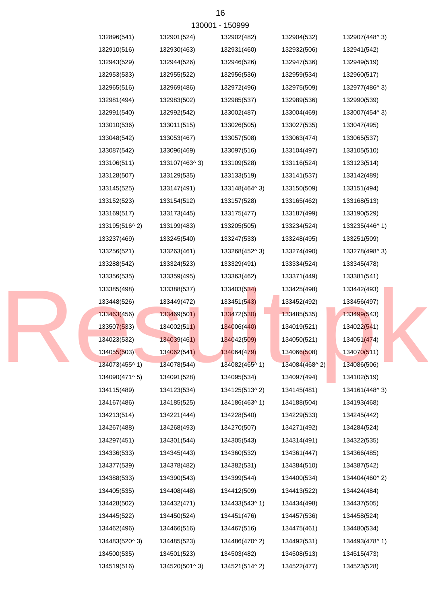| 132896(541)   | 132901(524)   | 132902(482)   | 132904(532)   | 132907(448^3)           |
|---------------|---------------|---------------|---------------|-------------------------|
| 132910(516)   | 132930(463)   | 132931(460)   | 132932(506)   | 132941(542)             |
| 132943(529)   | 132944(526)   | 132946(526)   | 132947(536)   | 132949(519)             |
| 132953(533)   | 132955(522)   | 132956(536)   | 132959(534)   | 132960(517)             |
| 132965(516)   | 132969(486)   | 132972(496)   | 132975(509)   | 132977(486^3)           |
| 132981(494)   | 132983(502)   | 132985(537)   | 132989(536)   | 132990(539)             |
| 132991(540)   | 132992(542)   | 133002(487)   | 133004(469)   | 133007(454^3)           |
| 133010(536)   | 133011(515)   | 133026(505)   | 133027(535)   | 133047(495)             |
| 133048(542)   | 133053(467)   | 133057(508)   | 133063(474)   | 133065(537)             |
| 133087(542)   | 133096(469)   | 133097(516)   | 133104(497)   | 133105(510)             |
| 133106(511)   | 133107(463^3) | 133109(528)   | 133116(524)   | 133123(514)             |
| 133128(507)   | 133129(535)   | 133133(519)   | 133141(537)   | 133142(489)             |
| 133145(525)   | 133147(491)   | 133148(464^3) | 133150(509)   | 133151(494)             |
| 133152(523)   | 133154(512)   | 133157(528)   | 133165(462)   | 133168(513)             |
| 133169(517)   | 133173(445)   | 133175(477)   | 133187(499)   | 133190(529)             |
| 133195(516^2) | 133199(483)   | 133205(505)   | 133234(524)   | 133235(446^1)           |
| 133237(469)   | 133245(540)   | 133247(533)   | 133248(495)   | 133251(509)             |
| 133256(521)   | 133263(461)   | 133268(452^3) | 133274(490)   | 133278(498^3)           |
| 133288(542)   | 133324(523)   | 133329(491)   | 133334(524)   | 133345(478)             |
| 133356(535)   | 133359(495)   | 133363(462)   | 133371(449)   | 133381(541)             |
| 133385(498)   | 133388(537)   | 133403(534)   | 133425(498)   | 133442(493)             |
| 133448(526)   | 133449(472)   | 133451(543)   | 133452(492)   | 133456(497)             |
| 133463(456)   | 133469(501)   | 133472(530)   | 133485(535)   | 133499(543)             |
| 133507(533)   | 134002(511)   | 134006(440)   | 134019(521)   | 134022(541)             |
| 134023(532)   | 134039(461)   | 134042(509)   | 134050(521)   | 134051 <sub>(474)</sub> |
| 134055(503)   | 134062(541)   | 134064(479)   | 134066(508)   | 134070(511)             |
| 134073(455^1) | 134078(544)   | 134082(465^1) | 134084(468^2) | 134086(506)             |
| 134090(471^5) | 134091(528)   | 134095(534)   | 134097(494)   | 134102(519)             |
| 134115(489)   | 134123(534)   | 134125(513^2) | 134145(481)   | 134161(448^3)           |
| 134167(486)   | 134185(525)   | 134186(463^1) | 134188(504)   | 134193(468)             |
| 134213(514)   | 134221(444)   | 134228(540)   | 134229(533)   | 134245(442)             |
| 134267(488)   | 134268(493)   | 134270(507)   | 134271(492)   | 134284(524)             |
| 134297(451)   | 134301(544)   | 134305(543)   | 134314(491)   | 134322(535)             |
| 134336(533)   | 134345(443)   | 134360(532)   | 134361(447)   | 134366(485)             |
| 134377(539)   | 134378(482)   | 134382(531)   | 134384(510)   | 134387(542)             |
| 134388(533)   | 134390(543)   | 134399(544)   | 134400(534)   | 134404(460^2)           |
| 134405(535)   | 134408(448)   | 134412(509)   | 134413(522)   | 134424(484)             |
| 134428(502)   | 134432(471)   | 134433(543^1) | 134434(498)   | 134437(505)             |
| 134445(522)   | 134450(524)   | 134451(476)   | 134457(536)   | 134458(524)             |
| 134462(496)   | 134466(516)   | 134467(516)   | 134475(461)   | 134480(534)             |
| 134483(520^3) | 134485(523)   | 134486(470^2) | 134492(531)   | 134493(478^1)           |
| 134500(535)   | 134501(523)   | 134503(482)   | 134508(513)   | 134515(473)             |
| 134519(516)   | 134520(501^3) | 134521(514^2) | 134522(477)   | 134523(528)             |

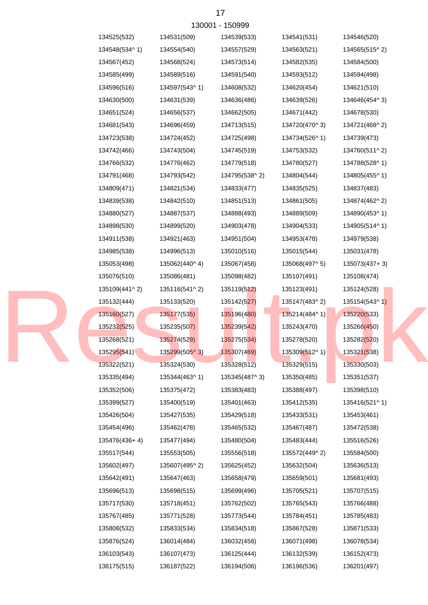| 130001 - 150999 |               |               |               |               |               |  |
|-----------------|---------------|---------------|---------------|---------------|---------------|--|
|                 | 134525(532)   | 134531(509)   | 134539(533)   | 134541(531)   | 134546(520)   |  |
|                 | 134548(534^1) | 134554(540)   | 134557(529)   | 134563(521)   | 134565(515^2) |  |
|                 | 134567(452)   | 134568(524)   | 134573(514)   | 134582(535)   | 134584(500)   |  |
|                 | 134585(499)   | 134589(516)   | 134591(540)   | 134593(512)   | 134594(498)   |  |
|                 | 134596(516)   | 134597(543^1) | 134608(532)   | 134620(454)   | 134621(510)   |  |
|                 | 134630(500)   | 134631(539)   | 134636(486)   | 134639(526)   | 134646(454^3) |  |
|                 | 134651(524)   | 134656(537)   | 134662(505)   | 134671(442)   | 134678(530)   |  |
|                 | 134681(543)   | 134696(459)   | 134713(515)   | 134720(470^3) | 134721(468^2) |  |
|                 | 134723(538)   | 134724(452)   | 134725(498)   | 134734(526^1) | 134739(473)   |  |
|                 | 134742(466)   | 134743(504)   | 134745(519)   | 134753(532)   | 134760(511^2) |  |
|                 | 134766(532)   | 134776(462)   | 134779(518)   | 134780(527)   | 134788(528^1) |  |
|                 | 134791(468)   | 134793(542)   | 134795(538^2) | 134804(544)   | 134805(455^1) |  |
|                 | 134809(471)   | 134821(534)   | 134833(477)   | 134835(525)   | 134837(483)   |  |
|                 | 134839(538)   | 134842(510)   | 134851(513)   | 134861(505)   | 134874(462^2) |  |
|                 | 134880(527)   | 134887(537)   | 134888(493)   | 134889(509)   | 134890(453^1) |  |
|                 | 134898(530)   | 134899(520)   | 134903(478)   | 134904(533)   | 134905(514^1) |  |
|                 | 134911(538)   | 134921(463)   | 134951(504)   | 134953(478)   | 134979(538)   |  |
|                 | 134985(538)   | 134996(513)   | 135010(516)   | 135015(544)   | 135031(478)   |  |
|                 | 135053(498)   | 135062(440^4) | 135067(458)   | 135068(497^5) | 135073(437+3) |  |
|                 | 135076(510)   | 135086(481)   | 135098(482)   | 135107(491)   | 135108(474)   |  |
|                 | 135109(441^2) | 135116(541^2) | 135119(512)   | 135123(491)   | 135124(528)   |  |
|                 | 135132(444)   | 135133(520)   | 135142(527)   | 135147(483^2) | 135154(543^1) |  |
|                 | 135160(527)   | 135177(535)   | 135196(480)   | 135214(484^1) | 135220(533)   |  |
|                 | 135232(525)   | 135235(507)   | 135239(542)   | 135243(470)   | 135266(450)   |  |
|                 | 135268(521)   | 135274(529)   | 135275(534)   | 135278(520)   | 135282(520)   |  |
|                 | 135295(541)   | 135299(505^3) | 135307(469)   | 135309(512^1) | 135321(538)   |  |
|                 | 135322(521)   | 135324(530)   | 135328(512)   | 135329(515)   | 135330(503)   |  |
|                 | 135335(494)   | 135344(463^1) | 135345(487^3) | 135350(485)   | 135351(537)   |  |
|                 | 135352(506)   | 135375(472)   | 135383(483)   | 135388(497)   | 135398(510)   |  |
|                 | 135399(527)   | 135400(519)   | 135401(463)   | 135412(535)   | 135416(521^1) |  |
|                 | 135426(504)   | 135427(535)   | 135429(518)   | 135433(531)   | 135453(461)   |  |
|                 | 135454(496)   | 135462(478)   | 135465(532)   | 135467(487)   | 135472(538)   |  |
|                 | 135476(436+4) | 135477(494)   | 135480(504)   | 135483(444)   | 135516(526)   |  |
|                 | 135517(544)   | 135553(505)   | 135556(518)   | 135572(449^2) | 135584(500)   |  |
|                 | 135602(497)   | 135607(495^2) | 135625(452)   | 135632(504)   | 135636(513)   |  |
|                 | 135642(491)   | 135647(463)   | 135658(479)   | 135659(501)   | 135681(493)   |  |
|                 | 135696(513)   | 135698(515)   | 135699(496)   | 135705(521)   | 135707(515)   |  |
|                 | 135717(530)   | 135718(451)   | 135762(502)   | 135765(543)   | 135766(488)   |  |
|                 | 135767(485)   | 135771(528)   | 135773(544)   | 135784(451)   | 135785(483)   |  |
|                 | 135808(532)   | 135833(534)   | 135834(518)   | 135867(528)   | 135871(533)   |  |
|                 | 135876(524)   | 136014(484)   | 136032(458)   | 136071(498)   | 136078(534)   |  |
|                 | 136103(543)   | 136107(473)   | 136125(444)   | 136132(539)   | 136152(473)   |  |
|                 | 136175(515)   | 136187(522)   | 136194(506)   | 136196(536)   | 136201(497)   |  |

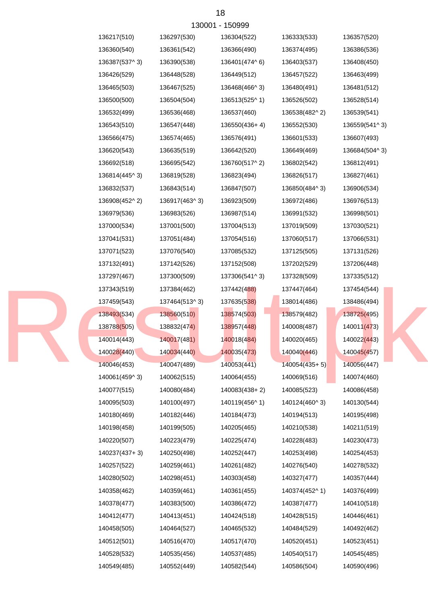

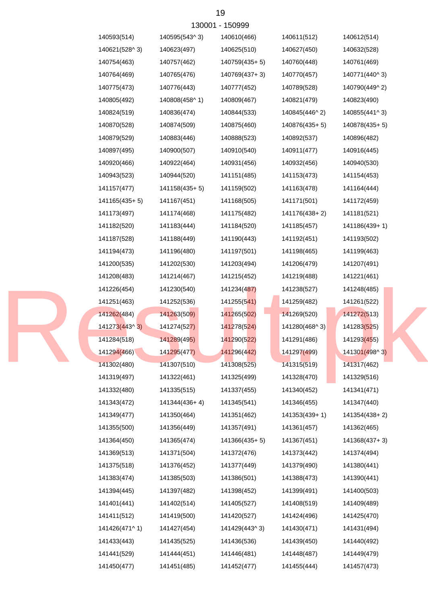| 140593(514)   | 140595(543^3) | 140610(466)     | 140611(512)   | 140612(514)   |
|---------------|---------------|-----------------|---------------|---------------|
| 140621(528^3) | 140623(497)   | 140625(510)     | 140627(450)   | 140632(528)   |
| 140754(463)   | 140757(462)   | 140759(435+5)   | 140760(448)   | 140761(469)   |
| 140764(469)   | 140765(476)   | 140769(437+3)   | 140770(457)   | 140771(440^3) |
| 140775(473)   | 140776(443)   | 140777(452)     | 140789(528)   | 140790(449^2) |
| 140805(492)   | 140808(458^1) | 140809(467)     | 140821(479)   | 140823(490)   |
| 140824(519)   | 140836(474)   | 140844(533)     | 140845(446^2) | 140855(441^3) |
| 140870(528)   | 140874(509)   | 140875(460)     | 140876(435+5) | 140878(435+5) |
| 140879(529)   | 140883(446)   | 140888(523)     | 140892(537)   | 140896(482)   |
| 140897(495)   | 140900(507)   | 140910(540)     | 140911(477)   | 140916(445)   |
| 140920(466)   | 140922(464)   | 140931(456)     | 140932(456)   | 140940(530)   |
| 140943(523)   | 140944(520)   | 141151(485)     | 141153(473)   | 141154(453)   |
| 141157(477)   | 141158(435+5) | 141159(502)     | 141163(478)   | 141164(444)   |
| 141165(435+5) | 141167(451)   | 141168(505)     | 141171(501)   | 141172(459)   |
| 141173(497)   | 141174(468)   | 141175(482)     | 141176(438+2) | 141181(521)   |
| 141182(520)   | 141183(444)   | 141184(520)     | 141185(457)   | 141186(439+1) |
| 141187(528)   | 141188(449)   | 141190(443)     | 141192(451)   | 141193(502)   |
| 141194(473)   | 141196(480)   | 141197(501)     | 141198(465)   | 141199(463)   |
| 141200(535)   | 141202(530)   | 141203(494)     | 141206(479)   | 141207(491)   |
| 141208(483)   | 141214(467)   | 141215(452)     | 141219(488)   | 141221(461)   |
| 141226(454)   | 141230(540)   | 141234(487)     | 141238(527)   | 141248(485)   |
| 141251(463)   | 141252(536)   | 141255(541)     | 141259(482)   | 141261(522)   |
| 141262(484)   | 141263(509)   | 141265(502)     | 141269(520)   | 141272(513)   |
| 141273(443^3) | 141274(527)   | 141278(524)     | 141280(468^3) | 141283(525)   |
| 141284(518)   | 141289(495)   | 141290(522)     | 141291(486)   | 141293(455)   |
| 141294(466)   | 141295(477)   | 141296(442)     | 141297(499)   | 141301(498^3) |
| 141302(480)   | 141307(510)   | 141308(525)     | 141315(519)   | 141317(462)   |
| 141319(497)   | 141322(461)   | 141325(499)     | 141328(470)   | 141329(516)   |
| 141332(480)   | 141335(515)   | 141337(455)     | 141340(452)   | 141341(471)   |
| 141343(472)   | 141344(436+4) | 141345(541)     | 141346(455)   | 141347(440)   |
| 141349(477)   | 141350(464)   | 141351(462)     | 141353(439+1) | 141354(438+2) |
| 141355(500)   | 141356(449)   | 141357(491)     | 141361(457)   | 141362(465)   |
| 141364(450)   | 141365(474)   | $141366(435+5)$ | 141367(451)   | 141368(437+3) |
| 141369(513)   | 141371(504)   | 141372(476)     | 141373(442)   | 141374(494)   |
| 141375(518)   | 141376(452)   | 141377(449)     | 141379(490)   | 141380(441)   |
| 141383(474)   | 141385(503)   | 141386(501)     | 141388(473)   | 141390(441)   |
| 141394(445)   | 141397(482)   | 141398(452)     | 141399(491)   | 141400(503)   |
| 141401(441)   | 141402(514)   | 141405(527)     | 141408(519)   | 141409(489)   |
| 141411(512)   | 141419(500)   | 141420(527)     | 141424(496)   | 141425(470)   |
| 141426(471^1) | 141427(454)   | 141429(443^3)   | 141430(471)   | 141431(494)   |
| 141433(443)   | 141435(525)   | 141436(536)     | 141439(450)   | 141440(492)   |
| 141441(529)   | 141444(451)   | 141446(481)     | 141448(487)   | 141449(479)   |
| 141450(477)   | 141451(485)   | 141452(477)     | 141455(444)   | 141457(473)   |

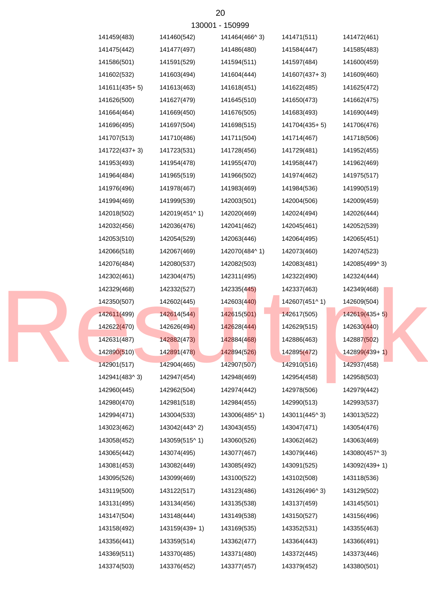| 130001 - 150999 |               |               |               |                 |  |  |  |
|-----------------|---------------|---------------|---------------|-----------------|--|--|--|
| 141459(483)     | 141460(542)   | 141464(466^3) | 141471(511)   | 141472(461)     |  |  |  |
| 141475(442)     | 141477(497)   | 141486(480)   | 141584(447)   | 141585(483)     |  |  |  |
| 141586(501)     | 141591(529)   | 141594(511)   | 141597(484)   | 141600(459)     |  |  |  |
| 141602(532)     | 141603(494)   | 141604(444)   | 141607(437+3) | 141609(460)     |  |  |  |
| $141611(435+5)$ | 141613(463)   | 141618(451)   | 141622(485)   | 141625(472)     |  |  |  |
| 141626(500)     | 141627(479)   | 141645(510)   | 141650(473)   | 141662(475)     |  |  |  |
| 141664(464)     | 141669(450)   | 141676(505)   | 141683(493)   | 141690(449)     |  |  |  |
| 141696(495)     | 141697(504)   | 141698(515)   | 141704(435+5) | 141706(476)     |  |  |  |
| 141707(513)     | 141710(486)   | 141711(504)   | 141714(467)   | 141718(506)     |  |  |  |
| 141722(437+3)   | 141723(531)   | 141728(456)   | 141729(481)   | 141952(455)     |  |  |  |
| 141953(493)     | 141954(478)   | 141955(470)   | 141958(447)   | 141962(469)     |  |  |  |
| 141964(484)     | 141965(519)   | 141966(502)   | 141974(462)   | 141975(517)     |  |  |  |
| 141976(496)     | 141978(467)   | 141983(469)   | 141984(536)   | 141990(519)     |  |  |  |
| 141994(469)     | 141999(539)   | 142003(501)   | 142004(506)   | 142009(459)     |  |  |  |
| 142018(502)     | 142019(451^1) | 142020(469)   | 142024(494)   | 142026(444)     |  |  |  |
| 142032(456)     | 142036(476)   | 142041(462)   | 142045(461)   | 142052(539)     |  |  |  |
| 142053(510)     | 142054(529)   | 142063(446)   | 142064(495)   | 142065(451)     |  |  |  |
| 142066(518)     | 142067(469)   | 142070(484^1) | 142073(460)   | 142074(523)     |  |  |  |
| 142076(484)     | 142080(537)   | 142082(503)   | 142083(481)   | 142085(499^3)   |  |  |  |
| 142302(461)     | 142304(475)   | 142311(495)   | 142322(490)   | 142324(444)     |  |  |  |
| 142329(468)     | 142332(527)   | 142335(445)   | 142337(463)   | 142349(468)     |  |  |  |
| 142350(507)     | 142602(445)   | 142603(440)   | 142607(451^1) | 142609(504)     |  |  |  |
| 142611(499)     | 142614(544)   | 142615(501)   | 142617(505)   | $142619(435+5)$ |  |  |  |
| 142622(470)     | 142626(494)   | 142628(444)   | 142629(515)   | 142630(440)     |  |  |  |
| 142631(487)     | 142882(473)   | 142884(468)   | 142886(463)   | 142887(502)     |  |  |  |
| 142890(510)     | 142891(478)   | 142894(526)   | 142895(472)   | 142899(439+1)   |  |  |  |
| 142901(517)     | 142904(465)   | 142907(507)   | 142910(516)   | 142937(458)     |  |  |  |
| 142941(483^3)   | 142947(454)   | 142948(469)   | 142954(458)   | 142958(503)     |  |  |  |
| 142960(445)     | 142962(504)   | 142974(442)   | 142978(506)   | 142979(442)     |  |  |  |
| 142980(470)     | 142981(518)   | 142984(455)   | 142990(513)   | 142993(537)     |  |  |  |
| 142994(471)     | 143004(533)   | 143006(485^1) | 143011(445^3) | 143013(522)     |  |  |  |
| 143023(462)     | 143042(443^2) | 143043(455)   | 143047(471)   | 143054(476)     |  |  |  |
| 143058(452)     | 143059(515^1) | 143060(526)   | 143062(462)   | 143063(469)     |  |  |  |
| 143065(442)     | 143074(495)   | 143077(467)   | 143079(446)   | 143080(457^3)   |  |  |  |
| 143081(453)     | 143082(449)   | 143085(492)   | 143091(525)   | 143092(439+1)   |  |  |  |
| 143095(526)     | 143099(469)   | 143100(522)   | 143102(508)   | 143118(536)     |  |  |  |
| 143119(500)     | 143122(517)   | 143123(486)   | 143126(496^3) | 143129(502)     |  |  |  |
| 143131(495)     | 143134(456)   | 143135(538)   | 143137(459)   | 143145(501)     |  |  |  |
| 143147(504)     | 143148(444)   | 143149(538)   | 143150(527)   | 143156(496)     |  |  |  |
| 143158(492)     | 143159(439+1) | 143169(535)   | 143352(531)   | 143355(463)     |  |  |  |
| 143356(441)     | 143359(514)   | 143362(477)   | 143364(443)   | 143366(491)     |  |  |  |
| 143369(511)     | 143370(485)   | 143371(480)   | 143372(445)   | 143373(446)     |  |  |  |
| 143374(503)     | 143376(452)   | 143377(457)   | 143379(452)   | 143380(501)     |  |  |  |

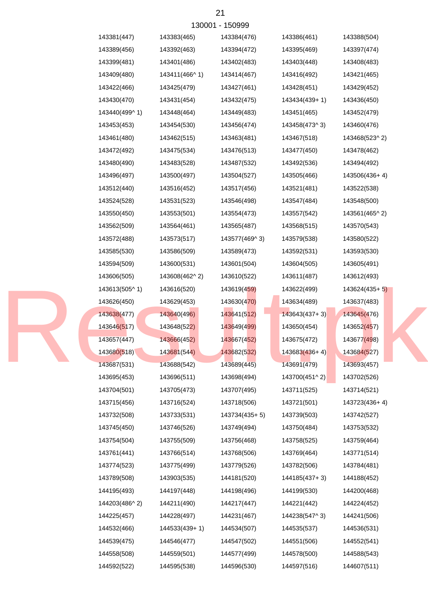| 130001 - 150999 |               |               |                 |                 |  |  |  |
|-----------------|---------------|---------------|-----------------|-----------------|--|--|--|
| 143381(447)     | 143383(465)   | 143384(476)   | 143386(461)     | 143388(504)     |  |  |  |
| 143389(456)     | 143392(463)   | 143394(472)   | 143395(469)     | 143397(474)     |  |  |  |
| 143399(481)     | 143401(486)   | 143402(483)   | 143403(448)     | 143408(483)     |  |  |  |
| 143409(480)     | 143411(466^1) | 143414(467)   | 143416(492)     | 143421(465)     |  |  |  |
| 143422(466)     | 143425(479)   | 143427(461)   | 143428(451)     | 143429(452)     |  |  |  |
| 143430(470)     | 143431(454)   | 143432(475)   | 143434(439+1)   | 143436(450)     |  |  |  |
| 143440(499^1)   | 143448(464)   | 143449(483)   | 143451(465)     | 143452(479)     |  |  |  |
| 143453(453)     | 143454(530)   | 143456(474)   | 143458(473^3)   | 143460(476)     |  |  |  |
| 143461(480)     | 143462(515)   | 143463(481)   | 143467(518)     | 143468(523^2)   |  |  |  |
| 143472(492)     | 143475(534)   | 143476(513)   | 143477(450)     | 143478(462)     |  |  |  |
| 143480(490)     | 143483(528)   | 143487(532)   | 143492(536)     | 143494(492)     |  |  |  |
| 143496(497)     | 143500(497)   | 143504(527)   | 143505(466)     | 143506(436+4)   |  |  |  |
| 143512(440)     | 143516(452)   | 143517(456)   | 143521(481)     | 143522(538)     |  |  |  |
| 143524(528)     | 143531(523)   | 143546(498)   | 143547(484)     | 143548(500)     |  |  |  |
| 143550(450)     | 143553(501)   | 143554(473)   | 143557(542)     | 143561(465^2)   |  |  |  |
| 143562(509)     | 143564(461)   | 143565(487)   | 143568(515)     | 143570(543)     |  |  |  |
| 143572(488)     | 143573(517)   | 143577(469^3) | 143579(538)     | 143580(522)     |  |  |  |
| 143585(530)     | 143586(509)   | 143589(473)   | 143592(531)     | 143593(530)     |  |  |  |
| 143594(509)     | 143600(531)   | 143601(504)   | 143604(505)     | 143605(491)     |  |  |  |
| 143606(505)     | 143608(462^2) | 143610(522)   | 143611(487)     | 143612(493)     |  |  |  |
| 143613(505^1)   | 143616(520)   | 143619(459)   | 143622(499)     | $143624(435+5)$ |  |  |  |
| 143626(450)     | 143629(453)   | 143630(470)   | 143634(489)     | 143637(483)     |  |  |  |
| 143638(477)     | 143640(496)   | 143641(512)   | $143643(437+3)$ | 143645(476)     |  |  |  |
| 143646(517)     | 143648(522)   | 143649(499)   | 143650(454)     | 143652(457)     |  |  |  |
| 143657(447)     | 143666(452)   | 143667(452)   | 143675(472)     | 143677(498)     |  |  |  |
| 143680(518)     | 143681(544)   | 143682(532)   | $143683(436+4)$ | 143684(527)     |  |  |  |
| 143687(531)     | 143688(542)   | 143689(445)   | 143691(479)     | 143693(457)     |  |  |  |
| 143695(453)     | 143696(511)   | 143698(494)   | 143700(451^2)   | 143702(526)     |  |  |  |
| 143704(501)     | 143705(473)   | 143707(495)   | 143711(525)     | 143714(521)     |  |  |  |
| 143715(456)     | 143716(524)   | 143718(506)   | 143721(501)     | 143723(436+4)   |  |  |  |
| 143732(508)     | 143733(531)   | 143734(435+5) | 143739(503)     | 143742(527)     |  |  |  |
| 143745(450)     | 143746(526)   | 143749(494)   | 143750(484)     | 143753(532)     |  |  |  |
| 143754(504)     | 143755(509)   | 143756(468)   | 143758(525)     | 143759(464)     |  |  |  |
| 143761(441)     | 143766(514)   | 143768(506)   | 143769(464)     | 143771(514)     |  |  |  |
| 143774(523)     | 143775(499)   | 143779(526)   | 143782(506)     | 143784(481)     |  |  |  |
| 143789(508)     | 143903(535)   | 144181(520)   | 144185(437+3)   | 144188(452)     |  |  |  |
| 144195(493)     | 144197(448)   | 144198(496)   | 144199(530)     | 144200(468)     |  |  |  |
| 144203(486^2)   | 144211(490)   | 144217(447)   | 144221(442)     | 144224(452)     |  |  |  |
| 144225(457)     | 144228(497)   | 144231(467)   | 144238(547^3)   | 144241(506)     |  |  |  |
| 144532(466)     | 144533(439+1) | 144534(507)   | 144535(537)     | 144536(531)     |  |  |  |
| 144539(475)     | 144546(477)   | 144547(502)   | 144551(506)     | 144552(541)     |  |  |  |
| 144558(508)     | 144559(501)   | 144577(499)   | 144578(500)     | 144588(543)     |  |  |  |
| 144592(522)     | 144595(538)   | 144596(530)   | 144597(516)     | 144607(511)     |  |  |  |
|                 |               |               |                 |                 |  |  |  |

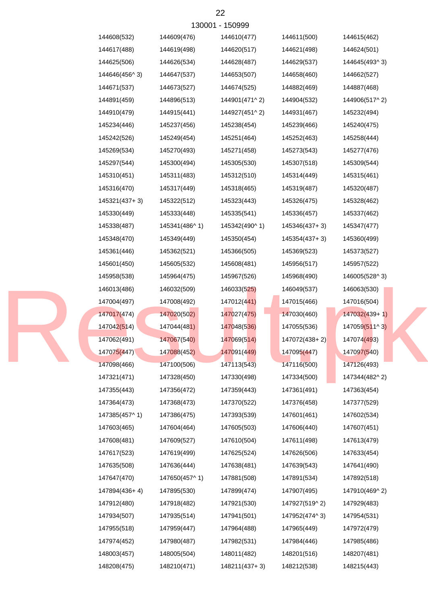| 130001 - 150999 |               |               |               |               |  |  |  |
|-----------------|---------------|---------------|---------------|---------------|--|--|--|
| 144608(532)     | 144609(476)   | 144610(477)   | 144611(500)   | 144615(462)   |  |  |  |
| 144617(488)     | 144619(498)   | 144620(517)   | 144621(498)   | 144624(501)   |  |  |  |
| 144625(506)     | 144626(534)   | 144628(487)   | 144629(537)   | 144645(493^3) |  |  |  |
| 144646(456^3)   | 144647(537)   | 144653(507)   | 144658(460)   | 144662(527)   |  |  |  |
| 144671(537)     | 144673(527)   | 144674(525)   | 144882(469)   | 144887(468)   |  |  |  |
| 144891(459)     | 144896(513)   | 144901(471^2) | 144904(532)   | 144906(517^2) |  |  |  |
| 144910(479)     | 144915(441)   | 144927(451^2) | 144931(467)   | 145232(494)   |  |  |  |
| 145234(446)     | 145237(456)   | 145238(454)   | 145239(466)   | 145240(475)   |  |  |  |
| 145242(526)     | 145249(454)   | 145251(464)   | 145252(463)   | 145258(444)   |  |  |  |
| 145269(534)     | 145270(493)   | 145271(458)   | 145273(543)   | 145277(476)   |  |  |  |
| 145297(544)     | 145300(494)   | 145305(530)   | 145307(518)   | 145309(544)   |  |  |  |
| 145310(451)     | 145311(483)   | 145312(510)   | 145314(449)   | 145315(461)   |  |  |  |
| 145316(470)     | 145317(449)   | 145318(465)   | 145319(487)   | 145320(487)   |  |  |  |
| 145321(437+3)   | 145322(512)   | 145323(443)   | 145326(475)   | 145328(462)   |  |  |  |
| 145330(449)     | 145333(448)   | 145335(541)   | 145336(457)   | 145337(462)   |  |  |  |
| 145338(487)     | 145341(486^1) | 145342(490^1) | 145346(437+3) | 145347(477)   |  |  |  |
| 145348(470)     | 145349(449)   | 145350(454)   | 145354(437+3) | 145360(499)   |  |  |  |
| 145361(446)     | 145362(521)   | 145366(505)   | 145369(523)   | 145373(527)   |  |  |  |
| 145601(450)     | 145605(532)   | 145608(481)   | 145956(517)   | 145957(522)   |  |  |  |
| 145958(538)     | 145964(475)   | 145967(526)   | 145968(490)   | 146005(528^3) |  |  |  |
| 146013(486)     | 146032(509)   | 146033(525)   | 146049(537)   | 146063(530)   |  |  |  |
| 147004(497)     | 147008(492)   | 147012(441)   | 147015(466)   | 147016(504)   |  |  |  |
| 147017(474)     | 147020(502)   | 147027(475)   | 147030(460)   | 147032(439+1) |  |  |  |
| 147042(514)     | 147044(481)   | 147048(536)   | 147055(536)   | 147059(511^3) |  |  |  |
| 147062(491)     | 147067(540)   | 147069(514)   | 147072(438+2) | 147074(493)   |  |  |  |
| 147075(447)     | 147088(452)   | 147091(449)   | 147095(447)   | 147097(540)   |  |  |  |
| 147098(466)     | 147100(506)   | 147113(543)   | 147116(500)   | 147126(493)   |  |  |  |
| 147321(471)     | 147328(450)   | 147330(498)   | 147334(500)   | 147344(482^2) |  |  |  |
| 147355(443)     | 147356(472)   | 147359(443)   | 147361(491)   | 147363(454)   |  |  |  |
| 147364(473)     | 147368(473)   | 147370(522)   | 147376(458)   | 147377(529)   |  |  |  |
| 147385(457^1)   | 147386(475)   | 147393(539)   | 147601(461)   | 147602(534)   |  |  |  |
| 147603(465)     | 147604(464)   | 147605(503)   | 147606(440)   | 147607(451)   |  |  |  |
| 147608(481)     | 147609(527)   | 147610(504)   | 147611(498)   | 147613(479)   |  |  |  |
| 147617(523)     | 147619(499)   | 147625(524)   | 147626(506)   | 147633(454)   |  |  |  |
| 147635(508)     | 147636(444)   | 147638(481)   | 147639(543)   | 147641(490)   |  |  |  |
| 147647(470)     | 147650(457^1) | 147881(508)   | 147891(534)   | 147892(518)   |  |  |  |
| 147894(436+4)   | 147895(530)   | 147899(474)   | 147907(495)   | 147910(469^2) |  |  |  |
| 147912(480)     | 147918(482)   | 147921(530)   | 147927(519^2) | 147929(483)   |  |  |  |
| 147934(507)     | 147935(514)   | 147941(501)   | 147952(474^3) | 147954(531)   |  |  |  |
| 147955(518)     | 147959(447)   | 147964(488)   | 147965(449)   | 147972(479)   |  |  |  |
| 147974(452)     | 147980(487)   | 147982(531)   | 147984(446)   | 147985(486)   |  |  |  |
| 148003(457)     | 148005(504)   | 148011(482)   | 148201(516)   | 148207(481)   |  |  |  |
| 148208(475)     | 148210(471)   | 148211(437+3) | 148212(538)   | 148215(443)   |  |  |  |

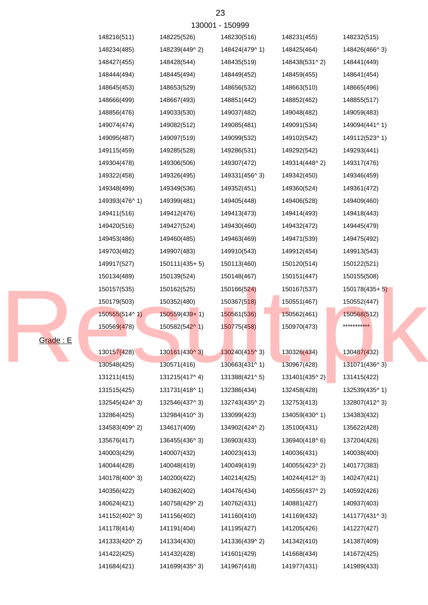|                 | 148216(511)   | 148225(526)            | 148230(516)                | 148231(455)   | 148232(515)               |
|-----------------|---------------|------------------------|----------------------------|---------------|---------------------------|
|                 | 148234(485)   | 148239(449^2)          | 148424(479^1)              | 148425(464)   | 148426(466^3)             |
|                 | 148427(455)   | 148428(544)            | 148435(519)                | 148438(531^2) | 148441(449)               |
|                 | 148444(494)   | 148445(494)            | 148449(452)                | 148459(455)   | 148641(454)               |
|                 | 148645(453)   | 148653(529)            | 148656(532)                | 148663(510)   | 148665(496)               |
|                 | 148666(499)   | 148667(493)            | 148851(442)                | 148852(462)   | 148855(517)               |
|                 | 148856(476)   | 149033(530)            | 149037(482)                | 149048(482)   | 149059(483)               |
|                 | 149074(474)   | 149082(512)            | 149085(481)                | 149091(534)   | 149094(441^1)             |
|                 | 149095(487)   | 149097(519)            | 149099(532)                | 149102(542)   | 149112(523^1)             |
|                 | 149115(459)   | 149285(528)            | 149286(531)                | 149292(542)   | 149293(441)               |
|                 | 149304(478)   | 149306(506)            | 149307(472)                | 149314(448^2) | 149317(476)               |
|                 | 149322(458)   | 149326(495)            | 149331(456^3)              | 149342(450)   | 149346(459)               |
|                 | 149348(499)   | 149349(536)            | 149352(451)                | 149360(524)   | 149361(472)               |
|                 | 149393(476^1) | 149399(481)            | 149405(448)                | 149406(528)   | 149409(460)               |
|                 | 149411(516)   | 149412(476)            | 149413(473)                | 149414(493)   | 149418(443)               |
|                 | 149420(516)   | 149427(524)            | 149430(460)                | 149432(472)   | 149445(479)               |
|                 | 149453(486)   | 149460(485)            | 149463(469)                | 149471(539)   | 149475(492)               |
|                 | 149703(482)   | 149907(483)            | 149910(543)                | 149912(454)   | 149913(543)               |
|                 | 149917(527)   | $150111(435+5)$        | 150113(460)                | 150120(514)   | 150122(521)               |
|                 | 150134(489)   | 150139(524)            | 150148(467)                | 150151(447)   | 150155(508)               |
|                 | 150157(535)   | 150162(525)            | 150166(524)                | 150167(537)   | $150178(435+5)$           |
|                 | 150179(503)   | 150352(480)            | 150367(518)                | 150551(467)   | 150552(447)               |
|                 | 150555(514^1) | $150559(439+1)$        | 150561(536)                | 150562(461)   | 150568(512)               |
|                 | 150569(478)   | 150582(542^1)          | 150775(458)                | 150970(473)   | ******** <mark>***</mark> |
| <b>Grade: E</b> |               |                        |                            |               |                           |
|                 | 130157(428)   | $130161(430^{\circ}3)$ | 130240(415^3)              | 130326(434)   | 130487(432)               |
|                 | 130548(425)   | 130571(416)            | 130663(431 <sup>1</sup> 1) | 130967(428)   | 131071(436^3)             |
|                 | 131211(415)   | 131215(417^4)          | 131388(421^5)              | 131401(435^2) | 131415(422)               |
|                 | 131515(425)   | 131731(418^1)          | 132386(434)                | 132458(428)   | 132539(435^1)             |
|                 | 132545(424^3) | 132546(437^3)          | 132743(435^2)              | 132753(413)   | 132807(412^3)             |
|                 | 132864(425)   | 132984(410^3)          | 133099(423)                | 134059(430^1) | 134383(432)               |
|                 | 134583(409^2) | 134617(409)            | 134902(424^2)              | 135100(431)   | 135622(428)               |
|                 | 135676(417)   | 136455(436^3)          | 136903(433)                | 136940(418^6) | 137204(426)               |
|                 | 140003(429)   | 140007(432)            | 140023(413)                | 140036(431)   | 140038(400)               |
|                 | 140044(428)   | 140048(419)            | 140049(419)                | 140055(423^2) | 140177(383)               |
|                 | 140178(400^3) | 140200(422)            | 140214(425)                | 140244(412^3) | 140247(421)               |
|                 | 140356(422)   | 140362(402)            | 140476(434)                | 140556(437^2) | 140592(426)               |
|                 | 140624(421)   | 140758(429^2)          | 140762(431)                | 140881(427)   | 140937(403)               |
|                 | 141152(402^3) | 141156(402)            | 141160(410)                | 141169(432)   | 141177(431^3)             |
|                 | 141178(414)   | 141191(404)            | 141195(427)                | 141205(426)   | 141227(427)               |
|                 | 141333(420^2) | 141334(430)            | 141336(439^2)              | 141342(410)   | 141387(409)               |
|                 | 141422(425)   | 141432(428)            | 141601(429)                | 141668(434)   | 141672(425)               |
|                 | 141684(421)   | 141699(435^3)          | 141967(418)                | 141977(431)   | 141989(433)               |

23 130001 - 150999